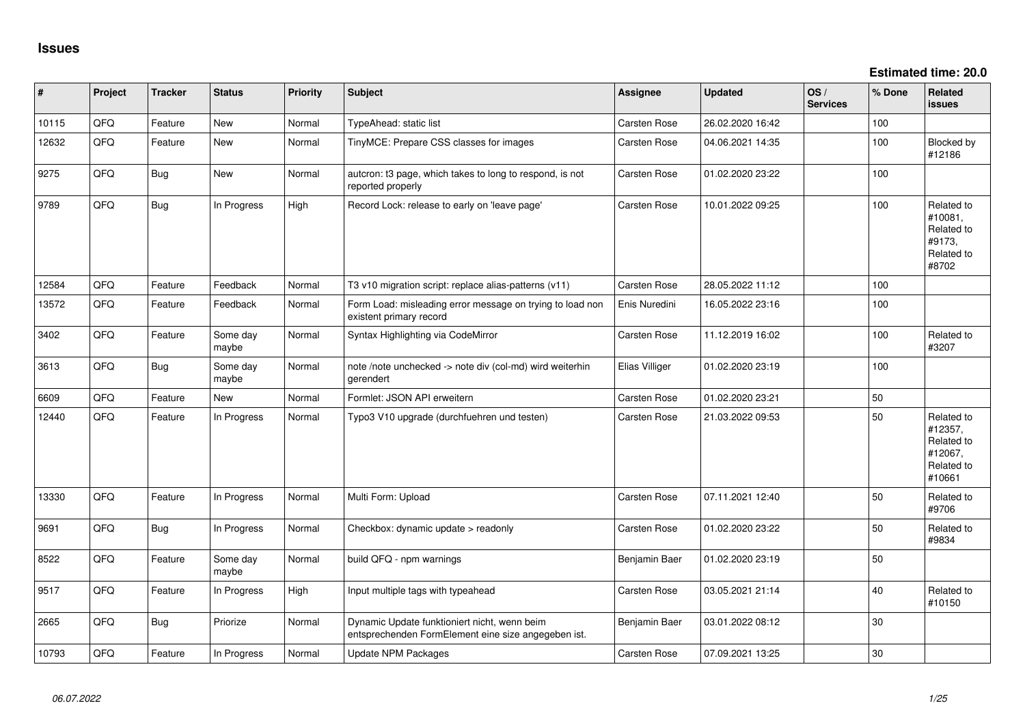**Estimated time: 20.0**

| #     | Project | <b>Tracker</b> | <b>Status</b>     | <b>Priority</b> | <b>Subject</b>                                                                                      | <b>Assignee</b>     | <b>Updated</b>   | OS/<br><b>Services</b> | % Done | Related<br>issues                                                      |
|-------|---------|----------------|-------------------|-----------------|-----------------------------------------------------------------------------------------------------|---------------------|------------------|------------------------|--------|------------------------------------------------------------------------|
| 10115 | QFQ     | Feature        | New               | Normal          | TypeAhead: static list                                                                              | Carsten Rose        | 26.02.2020 16:42 |                        | 100    |                                                                        |
| 12632 | QFQ     | Feature        | New               | Normal          | TinyMCE: Prepare CSS classes for images                                                             | <b>Carsten Rose</b> | 04.06.2021 14:35 |                        | 100    | Blocked by<br>#12186                                                   |
| 9275  | QFQ     | <b>Bug</b>     | <b>New</b>        | Normal          | autcron: t3 page, which takes to long to respond, is not<br>reported properly                       | Carsten Rose        | 01.02.2020 23:22 |                        | 100    |                                                                        |
| 9789  | QFQ     | <b>Bug</b>     | In Progress       | High            | Record Lock: release to early on 'leave page'                                                       | <b>Carsten Rose</b> | 10.01.2022 09:25 |                        | 100    | Related to<br>#10081,<br>Related to<br>#9173,<br>Related to<br>#8702   |
| 12584 | QFQ     | Feature        | Feedback          | Normal          | T3 v10 migration script: replace alias-patterns (v11)                                               | Carsten Rose        | 28.05.2022 11:12 |                        | 100    |                                                                        |
| 13572 | QFQ     | Feature        | Feedback          | Normal          | Form Load: misleading error message on trying to load non<br>existent primary record                | Enis Nuredini       | 16.05.2022 23:16 |                        | 100    |                                                                        |
| 3402  | QFQ     | Feature        | Some day<br>maybe | Normal          | Syntax Highlighting via CodeMirror                                                                  | <b>Carsten Rose</b> | 11.12.2019 16:02 |                        | 100    | Related to<br>#3207                                                    |
| 3613  | QFQ     | <b>Bug</b>     | Some day<br>maybe | Normal          | note /note unchecked -> note div (col-md) wird weiterhin<br>gerendert                               | Elias Villiger      | 01.02.2020 23:19 |                        | 100    |                                                                        |
| 6609  | QFQ     | Feature        | <b>New</b>        | Normal          | Formlet: JSON API erweitern                                                                         | <b>Carsten Rose</b> | 01.02.2020 23:21 |                        | 50     |                                                                        |
| 12440 | QFQ     | Feature        | In Progress       | Normal          | Typo3 V10 upgrade (durchfuehren und testen)                                                         | Carsten Rose        | 21.03.2022 09:53 |                        | 50     | Related to<br>#12357,<br>Related to<br>#12067,<br>Related to<br>#10661 |
| 13330 | QFQ     | Feature        | In Progress       | Normal          | Multi Form: Upload                                                                                  | Carsten Rose        | 07.11.2021 12:40 |                        | 50     | Related to<br>#9706                                                    |
| 9691  | QFQ     | <b>Bug</b>     | In Progress       | Normal          | Checkbox: dynamic update > readonly                                                                 | Carsten Rose        | 01.02.2020 23:22 |                        | 50     | Related to<br>#9834                                                    |
| 8522  | QFQ     | Feature        | Some day<br>maybe | Normal          | build QFQ - npm warnings                                                                            | Benjamin Baer       | 01.02.2020 23:19 |                        | 50     |                                                                        |
| 9517  | QFQ     | Feature        | In Progress       | High            | Input multiple tags with typeahead                                                                  | Carsten Rose        | 03.05.2021 21:14 |                        | 40     | Related to<br>#10150                                                   |
| 2665  | QFQ     | <b>Bug</b>     | Priorize          | Normal          | Dynamic Update funktioniert nicht, wenn beim<br>entsprechenden FormElement eine size angegeben ist. | Benjamin Baer       | 03.01.2022 08:12 |                        | 30     |                                                                        |
| 10793 | QFQ     | Feature        | In Progress       | Normal          | <b>Update NPM Packages</b>                                                                          | <b>Carsten Rose</b> | 07.09.2021 13:25 |                        | 30     |                                                                        |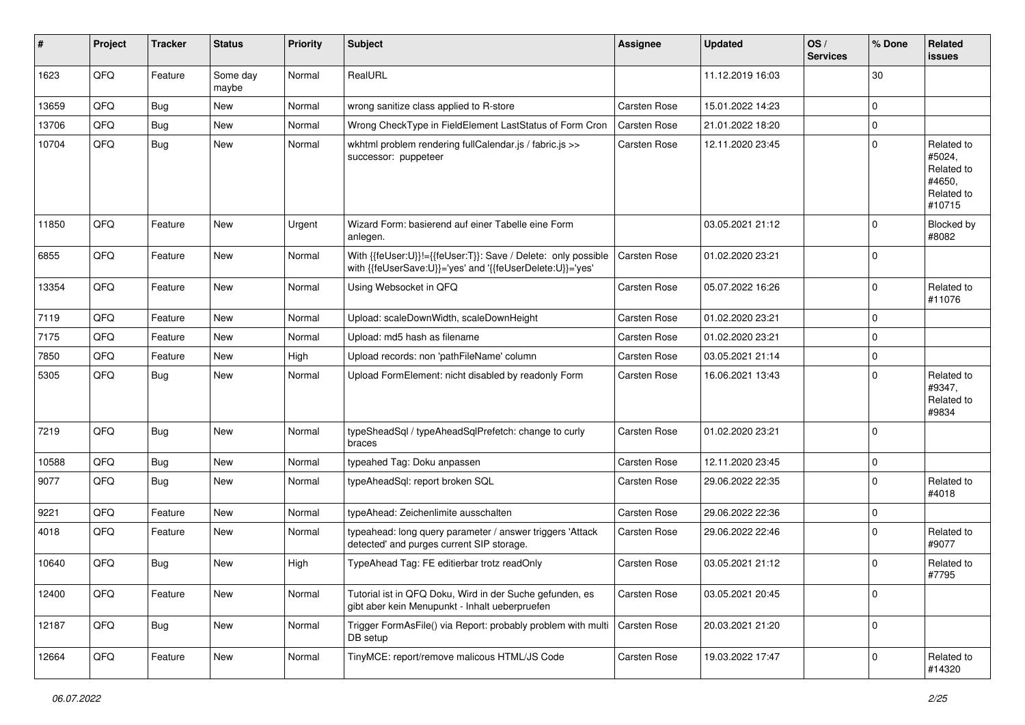| #     | Project | <b>Tracker</b> | <b>Status</b>     | <b>Priority</b> | <b>Subject</b>                                                                                                             | Assignee     | <b>Updated</b>   | OS/<br><b>Services</b> | % Done      | <b>Related</b><br>issues                                             |
|-------|---------|----------------|-------------------|-----------------|----------------------------------------------------------------------------------------------------------------------------|--------------|------------------|------------------------|-------------|----------------------------------------------------------------------|
| 1623  | QFQ     | Feature        | Some day<br>maybe | Normal          | RealURL                                                                                                                    |              | 11.12.2019 16:03 |                        | 30          |                                                                      |
| 13659 | QFQ     | <b>Bug</b>     | <b>New</b>        | Normal          | wrong sanitize class applied to R-store                                                                                    | Carsten Rose | 15.01.2022 14:23 |                        | $\mathbf 0$ |                                                                      |
| 13706 | QFQ     | <b>Bug</b>     | <b>New</b>        | Normal          | Wrong CheckType in FieldElement LastStatus of Form Cron                                                                    | Carsten Rose | 21.01.2022 18:20 |                        | $\pmb{0}$   |                                                                      |
| 10704 | QFQ     | Bug            | New               | Normal          | wkhtml problem rendering fullCalendar.js / fabric.js >><br>successor: puppeteer                                            | Carsten Rose | 12.11.2020 23:45 |                        | $\mathbf 0$ | Related to<br>#5024,<br>Related to<br>#4650,<br>Related to<br>#10715 |
| 11850 | QFQ     | Feature        | <b>New</b>        | Urgent          | Wizard Form: basierend auf einer Tabelle eine Form<br>anlegen.                                                             |              | 03.05.2021 21:12 |                        | $\mathbf 0$ | <b>Blocked by</b><br>#8082                                           |
| 6855  | QFQ     | Feature        | <b>New</b>        | Normal          | With {{feUser:U}}!={{feUser:T}}: Save / Delete: only possible<br>with {{feUserSave:U}}='yes' and '{{feUserDelete:U}}='yes' | Carsten Rose | 01.02.2020 23:21 |                        | $\mathbf 0$ |                                                                      |
| 13354 | QFQ     | Feature        | New               | Normal          | Using Websocket in QFQ                                                                                                     | Carsten Rose | 05.07.2022 16:26 |                        | $\mathbf 0$ | Related to<br>#11076                                                 |
| 7119  | QFQ     | Feature        | <b>New</b>        | Normal          | Upload: scaleDownWidth, scaleDownHeight                                                                                    | Carsten Rose | 01.02.2020 23:21 |                        | $\Omega$    |                                                                      |
| 7175  | QFQ     | Feature        | <b>New</b>        | Normal          | Upload: md5 hash as filename                                                                                               | Carsten Rose | 01.02.2020 23:21 |                        | $\mathbf 0$ |                                                                      |
| 7850  | QFQ     | Feature        | New               | High            | Upload records: non 'pathFileName' column                                                                                  | Carsten Rose | 03.05.2021 21:14 |                        | $\mathbf 0$ |                                                                      |
| 5305  | QFQ     | Bug            | New               | Normal          | Upload FormElement: nicht disabled by readonly Form                                                                        | Carsten Rose | 16.06.2021 13:43 |                        | $\Omega$    | Related to<br>#9347,<br>Related to<br>#9834                          |
| 7219  | QFQ     | Bug            | <b>New</b>        | Normal          | typeSheadSql / typeAheadSqlPrefetch: change to curly<br>braces                                                             | Carsten Rose | 01.02.2020 23:21 |                        | $\Omega$    |                                                                      |
| 10588 | QFQ     | Bug            | New               | Normal          | typeahed Tag: Doku anpassen                                                                                                | Carsten Rose | 12.11.2020 23:45 |                        | $\mathbf 0$ |                                                                      |
| 9077  | QFQ     | Bug            | <b>New</b>        | Normal          | typeAheadSql: report broken SQL                                                                                            | Carsten Rose | 29.06.2022 22:35 |                        | $\mathbf 0$ | Related to<br>#4018                                                  |
| 9221  | QFQ     | Feature        | <b>New</b>        | Normal          | typeAhead: Zeichenlimite ausschalten                                                                                       | Carsten Rose | 29.06.2022 22:36 |                        | 0           |                                                                      |
| 4018  | QFQ     | Feature        | <b>New</b>        | Normal          | typeahead: long query parameter / answer triggers 'Attack<br>detected' and purges current SIP storage.                     | Carsten Rose | 29.06.2022 22:46 |                        | $\mathbf 0$ | Related to<br>#9077                                                  |
| 10640 | QFQ     | Bug            | <b>New</b>        | High            | TypeAhead Tag: FE editierbar trotz readOnly                                                                                | Carsten Rose | 03.05.2021 21:12 |                        | $\Omega$    | Related to<br>#7795                                                  |
| 12400 | QFQ     | Feature        | New               | Normal          | Tutorial ist in QFQ Doku, Wird in der Suche gefunden, es<br>gibt aber kein Menupunkt - Inhalt ueberpruefen                 | Carsten Rose | 03.05.2021 20:45 |                        | $\mathbf 0$ |                                                                      |
| 12187 | QFQ     | <b>Bug</b>     | New               | Normal          | Trigger FormAsFile() via Report: probably problem with multi<br>DB setup                                                   | Carsten Rose | 20.03.2021 21:20 |                        | $\mathbf 0$ |                                                                      |
| 12664 | QFQ     | Feature        | New               | Normal          | TinyMCE: report/remove malicous HTML/JS Code                                                                               | Carsten Rose | 19.03.2022 17:47 |                        | 0           | Related to<br>#14320                                                 |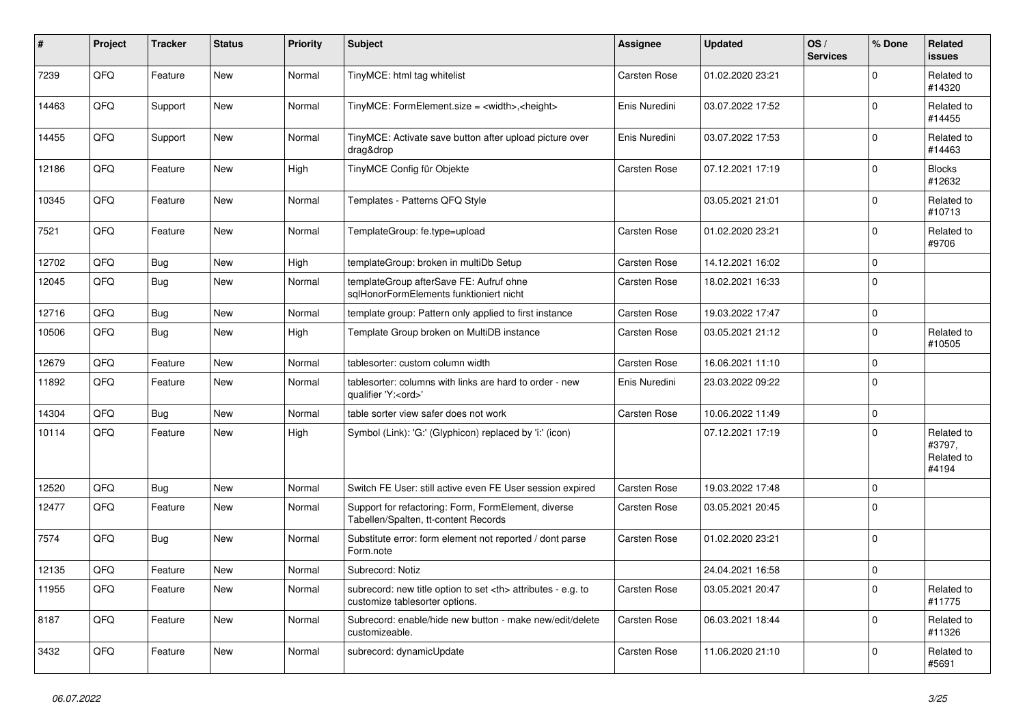| #     | Project | <b>Tracker</b> | <b>Status</b> | <b>Priority</b> | <b>Subject</b>                                                                                       | Assignee                                               | <b>Updated</b>      | OS/<br><b>Services</b> | % Done      | Related<br><b>issues</b>                    |                      |
|-------|---------|----------------|---------------|-----------------|------------------------------------------------------------------------------------------------------|--------------------------------------------------------|---------------------|------------------------|-------------|---------------------------------------------|----------------------|
| 7239  | QFQ     | Feature        | <b>New</b>    | Normal          | TinyMCE: html tag whitelist                                                                          | <b>Carsten Rose</b>                                    | 01.02.2020 23:21    |                        | $\Omega$    | Related to<br>#14320                        |                      |
| 14463 | QFQ     | Support        | <b>New</b>    | Normal          | TinyMCE: FormElement.size = <width>,<height></height></width>                                        | Enis Nuredini                                          | 03.07.2022 17:52    |                        | $\Omega$    | Related to<br>#14455                        |                      |
| 14455 | QFQ     | Support        | <b>New</b>    | Normal          | TinyMCE: Activate save button after upload picture over<br>drag&drop                                 | Enis Nuredini                                          | 03.07.2022 17:53    |                        | $\Omega$    | Related to<br>#14463                        |                      |
| 12186 | QFQ     | Feature        | <b>New</b>    | High            | TinyMCE Config für Objekte                                                                           | <b>Carsten Rose</b>                                    | 07.12.2021 17:19    |                        | $\Omega$    | <b>Blocks</b><br>#12632                     |                      |
| 10345 | QFQ     | Feature        | <b>New</b>    | Normal          | Templates - Patterns QFQ Style                                                                       |                                                        | 03.05.2021 21:01    |                        | $\Omega$    | Related to<br>#10713                        |                      |
| 7521  | QFQ     | Feature        | <b>New</b>    | Normal          | TemplateGroup: fe.type=upload                                                                        | Carsten Rose                                           | 01.02.2020 23:21    |                        | $\Omega$    | Related to<br>#9706                         |                      |
| 12702 | QFQ     | Bug            | <b>New</b>    | High            | templateGroup: broken in multiDb Setup                                                               | <b>Carsten Rose</b>                                    | 14.12.2021 16:02    |                        | $\mathbf 0$ |                                             |                      |
| 12045 | QFQ     | <b>Bug</b>     | <b>New</b>    | Normal          | templateGroup afterSave FE: Aufruf ohne<br>sglHonorFormElements funktioniert nicht                   | Carsten Rose                                           | 18.02.2021 16:33    |                        | $\Omega$    |                                             |                      |
| 12716 | QFQ     | Bug            | <b>New</b>    | Normal          | template group: Pattern only applied to first instance                                               | Carsten Rose                                           | 19.03.2022 17:47    |                        | $\mathbf 0$ |                                             |                      |
| 10506 | QFQ     | <b>Bug</b>     | <b>New</b>    | High            | Template Group broken on MultiDB instance                                                            | <b>Carsten Rose</b>                                    | 03.05.2021 21:12    |                        | $\Omega$    | Related to<br>#10505                        |                      |
| 12679 | QFQ     | Feature        | <b>New</b>    | Normal          | tablesorter: custom column width                                                                     | Carsten Rose                                           | 16.06.2021 11:10    |                        | $\mathbf 0$ |                                             |                      |
| 11892 | QFQ     | Feature        | <b>New</b>    | Normal          | tablesorter: columns with links are hard to order - new<br>qualifier 'Y: <ord>'</ord>                | Enis Nuredini                                          | 23.03.2022 09:22    |                        | $\mathbf 0$ |                                             |                      |
| 14304 | QFQ     | Bug            | <b>New</b>    | Normal          | table sorter view safer does not work                                                                | <b>Carsten Rose</b>                                    | 10.06.2022 11:49    |                        | $\mathbf 0$ |                                             |                      |
| 10114 | QFQ     | Feature        | <b>New</b>    | High            | Symbol (Link): 'G:' (Glyphicon) replaced by 'i:' (icon)                                              |                                                        | 07.12.2021 17:19    |                        | $\Omega$    | Related to<br>#3797,<br>Related to<br>#4194 |                      |
| 12520 | QFQ     | Bug            | <b>New</b>    | Normal          | Switch FE User: still active even FE User session expired                                            | Carsten Rose                                           | 19.03.2022 17:48    |                        | $\mathbf 0$ |                                             |                      |
| 12477 | QFQ     | Feature        | <b>New</b>    | Normal          | Support for refactoring: Form, FormElement, diverse<br>Tabellen/Spalten, tt-content Records          | Carsten Rose                                           | 03.05.2021 20:45    |                        | $\Omega$    |                                             |                      |
| 7574  | QFQ     | Bug            | <b>New</b>    | Normal          | Substitute error: form element not reported / dont parse<br>Form.note                                | <b>Carsten Rose</b>                                    | 01.02.2020 23:21    |                        | $\Omega$    |                                             |                      |
| 12135 | QFQ     | Feature        | <b>New</b>    | Normal          | Subrecord: Notiz                                                                                     |                                                        | 24.04.2021 16:58    |                        | $\Omega$    |                                             |                      |
| 11955 | QFQ     | Feature        | New           | Normal          | subrecord: new title option to set <th> attributes - e.g. to<br/>customize tablesorter options.</th> | attributes - e.g. to<br>customize tablesorter options. | <b>Carsten Rose</b> | 03.05.2021 20:47       |             | $\Omega$                                    | Related to<br>#11775 |
| 8187  | QFQ     | Feature        | <b>New</b>    | Normal          | Subrecord: enable/hide new button - make new/edit/delete<br>customizeable.                           | <b>Carsten Rose</b>                                    | 06.03.2021 18:44    |                        | $\Omega$    | Related to<br>#11326                        |                      |
| 3432  | QFQ     | Feature        | <b>New</b>    | Normal          | subrecord: dynamicUpdate                                                                             | Carsten Rose                                           | 11.06.2020 21:10    |                        | $\Omega$    | Related to<br>#5691                         |                      |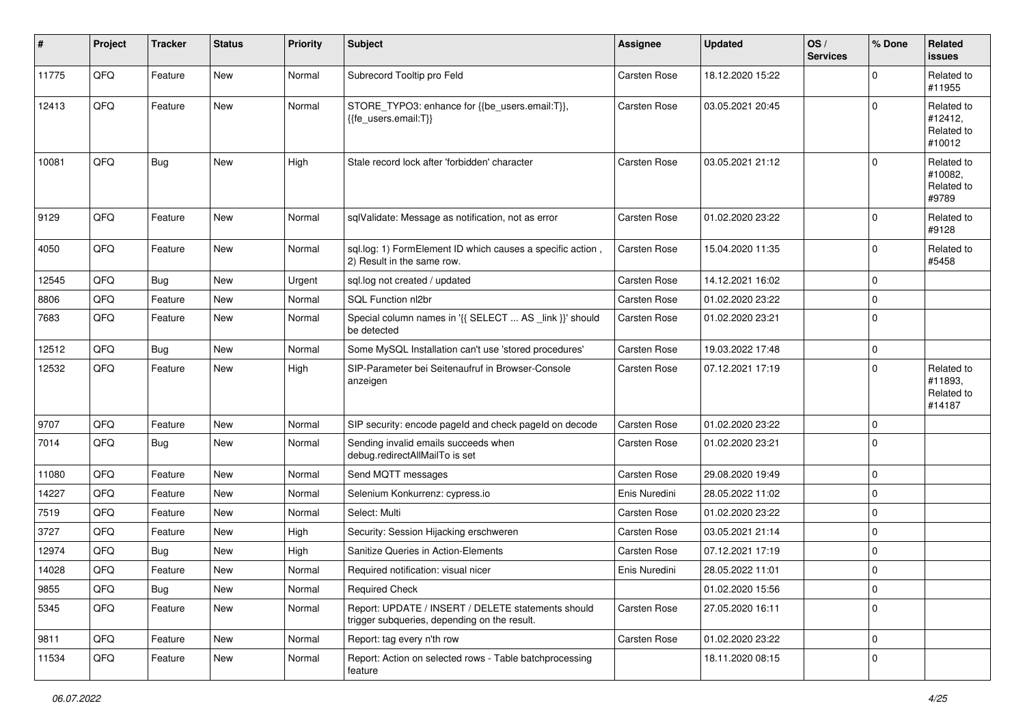| $\vert$ # | Project | <b>Tracker</b> | <b>Status</b> | <b>Priority</b> | <b>Subject</b>                                                                                     | <b>Assignee</b> | <b>Updated</b>   | OS/<br><b>Services</b> | % Done      | <b>Related</b><br>issues                      |
|-----------|---------|----------------|---------------|-----------------|----------------------------------------------------------------------------------------------------|-----------------|------------------|------------------------|-------------|-----------------------------------------------|
| 11775     | QFQ     | Feature        | <b>New</b>    | Normal          | Subrecord Tooltip pro Feld                                                                         | Carsten Rose    | 18.12.2020 15:22 |                        | $\mathbf 0$ | Related to<br>#11955                          |
| 12413     | QFQ     | Feature        | New           | Normal          | STORE_TYPO3: enhance for {{be_users.email:T}},<br>{{fe_users.email:T}}                             | Carsten Rose    | 03.05.2021 20:45 |                        | $\Omega$    | Related to<br>#12412,<br>Related to<br>#10012 |
| 10081     | QFQ     | Bug            | <b>New</b>    | High            | Stale record lock after 'forbidden' character                                                      | Carsten Rose    | 03.05.2021 21:12 |                        | $\mathbf 0$ | Related to<br>#10082,<br>Related to<br>#9789  |
| 9129      | QFQ     | Feature        | <b>New</b>    | Normal          | sqlValidate: Message as notification, not as error                                                 | Carsten Rose    | 01.02.2020 23:22 |                        | $\Omega$    | Related to<br>#9128                           |
| 4050      | QFQ     | Feature        | <b>New</b>    | Normal          | sql.log: 1) FormElement ID which causes a specific action,<br>2) Result in the same row.           | Carsten Rose    | 15.04.2020 11:35 |                        | $\mathbf 0$ | Related to<br>#5458                           |
| 12545     | QFQ     | Bug            | <b>New</b>    | Urgent          | sql.log not created / updated                                                                      | Carsten Rose    | 14.12.2021 16:02 |                        | 0           |                                               |
| 8806      | QFQ     | Feature        | <b>New</b>    | Normal          | <b>SQL Function nl2br</b>                                                                          | Carsten Rose    | 01.02.2020 23:22 |                        | $\pmb{0}$   |                                               |
| 7683      | QFQ     | Feature        | New           | Normal          | Special column names in '{{ SELECT  AS _link }}' should<br>be detected                             | Carsten Rose    | 01.02.2020 23:21 |                        | $\mathbf 0$ |                                               |
| 12512     | QFQ     | Bug            | New           | Normal          | Some MySQL Installation can't use 'stored procedures'                                              | Carsten Rose    | 19.03.2022 17:48 |                        | $\pmb{0}$   |                                               |
| 12532     | QFQ     | Feature        | New           | High            | SIP-Parameter bei Seitenaufruf in Browser-Console<br>anzeigen                                      | Carsten Rose    | 07.12.2021 17:19 |                        | $\mathbf 0$ | Related to<br>#11893.<br>Related to<br>#14187 |
| 9707      | QFQ     | Feature        | <b>New</b>    | Normal          | SIP security: encode pageld and check pageld on decode                                             | Carsten Rose    | 01.02.2020 23:22 |                        | $\mathbf 0$ |                                               |
| 7014      | QFQ     | <b>Bug</b>     | <b>New</b>    | Normal          | Sending invalid emails succeeds when<br>debug.redirectAllMailTo is set                             | Carsten Rose    | 01.02.2020 23:21 |                        | $\mathbf 0$ |                                               |
| 11080     | QFQ     | Feature        | New           | Normal          | Send MQTT messages                                                                                 | Carsten Rose    | 29.08.2020 19:49 |                        | $\pmb{0}$   |                                               |
| 14227     | QFQ     | Feature        | New           | Normal          | Selenium Konkurrenz: cypress.io                                                                    | Enis Nuredini   | 28.05.2022 11:02 |                        | $\mathbf 0$ |                                               |
| 7519      | QFQ     | Feature        | <b>New</b>    | Normal          | Select: Multi                                                                                      | Carsten Rose    | 01.02.2020 23:22 |                        | $\mathbf 0$ |                                               |
| 3727      | QFQ     | Feature        | <b>New</b>    | High            | Security: Session Hijacking erschweren                                                             | Carsten Rose    | 03.05.2021 21:14 |                        | $\mathbf 0$ |                                               |
| 12974     | QFQ     | <b>Bug</b>     | <b>New</b>    | High            | Sanitize Queries in Action-Elements                                                                | Carsten Rose    | 07.12.2021 17:19 |                        | $\pmb{0}$   |                                               |
| 14028     | QFQ     | Feature        | New           | Normal          | Required notification: visual nicer                                                                | Enis Nuredini   | 28.05.2022 11:01 |                        | 0           |                                               |
| 9855      | QFG     | <b>Bug</b>     | <b>New</b>    | Normal          | <b>Required Check</b>                                                                              |                 | 01.02.2020 15:56 |                        | 0           |                                               |
| 5345      | QFQ     | Feature        | New           | Normal          | Report: UPDATE / INSERT / DELETE statements should<br>trigger subqueries, depending on the result. | Carsten Rose    | 27.05.2020 16:11 |                        | $\mathbf 0$ |                                               |
| 9811      | QFQ     | Feature        | <b>New</b>    | Normal          | Report: tag every n'th row                                                                         | Carsten Rose    | 01.02.2020 23:22 |                        | $\mathbf 0$ |                                               |
| 11534     | QFQ     | Feature        | New           | Normal          | Report: Action on selected rows - Table batchprocessing<br>feature                                 |                 | 18.11.2020 08:15 |                        | $\mathbf 0$ |                                               |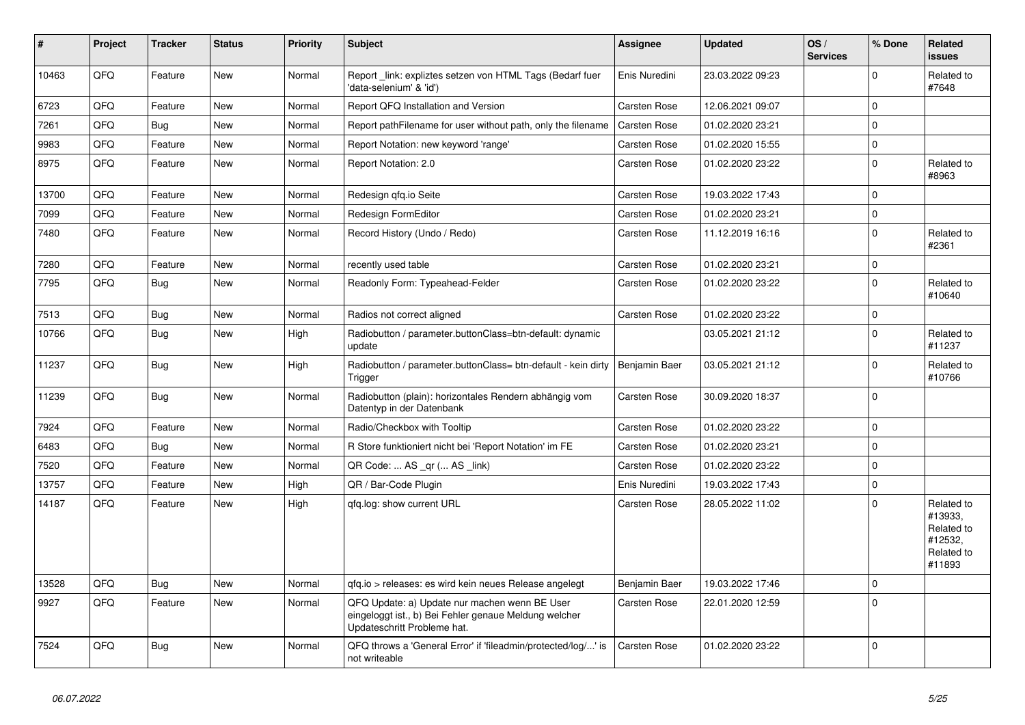| #     | Project | <b>Tracker</b> | <b>Status</b> | <b>Priority</b> | <b>Subject</b>                                                                                                                        | Assignee            | <b>Updated</b>   | OS/<br><b>Services</b> | % Done      | Related<br>issues                                                      |
|-------|---------|----------------|---------------|-----------------|---------------------------------------------------------------------------------------------------------------------------------------|---------------------|------------------|------------------------|-------------|------------------------------------------------------------------------|
| 10463 | QFQ     | Feature        | <b>New</b>    | Normal          | Report_link: expliztes setzen von HTML Tags (Bedarf fuer<br>'data-selenium' & 'id')                                                   | Enis Nuredini       | 23.03.2022 09:23 |                        | $\Omega$    | Related to<br>#7648                                                    |
| 6723  | QFQ     | Feature        | <b>New</b>    | Normal          | Report QFQ Installation and Version                                                                                                   | Carsten Rose        | 12.06.2021 09:07 |                        | $\mathbf 0$ |                                                                        |
| 7261  | QFQ     | <b>Bug</b>     | <b>New</b>    | Normal          | Report pathFilename for user without path, only the filename                                                                          | Carsten Rose        | 01.02.2020 23:21 |                        | $\Omega$    |                                                                        |
| 9983  | QFQ     | Feature        | New           | Normal          | Report Notation: new keyword 'range'                                                                                                  | Carsten Rose        | 01.02.2020 15:55 |                        | $\Omega$    |                                                                        |
| 8975  | QFQ     | Feature        | <b>New</b>    | Normal          | Report Notation: 2.0                                                                                                                  | Carsten Rose        | 01.02.2020 23:22 |                        | $\mathbf 0$ | Related to<br>#8963                                                    |
| 13700 | QFQ     | Feature        | <b>New</b>    | Normal          | Redesign qfq.io Seite                                                                                                                 | Carsten Rose        | 19.03.2022 17:43 |                        | $\Omega$    |                                                                        |
| 7099  | QFQ     | Feature        | <b>New</b>    | Normal          | Redesign FormEditor                                                                                                                   | <b>Carsten Rose</b> | 01.02.2020 23:21 |                        | $\mathbf 0$ |                                                                        |
| 7480  | QFQ     | Feature        | New           | Normal          | Record History (Undo / Redo)                                                                                                          | <b>Carsten Rose</b> | 11.12.2019 16:16 |                        | $\mathbf 0$ | Related to<br>#2361                                                    |
| 7280  | QFQ     | Feature        | <b>New</b>    | Normal          | recently used table                                                                                                                   | Carsten Rose        | 01.02.2020 23:21 |                        | $\Omega$    |                                                                        |
| 7795  | QFQ     | <b>Bug</b>     | <b>New</b>    | Normal          | Readonly Form: Typeahead-Felder                                                                                                       | Carsten Rose        | 01.02.2020 23:22 |                        | $\mathbf 0$ | Related to<br>#10640                                                   |
| 7513  | QFQ     | <b>Bug</b>     | New           | Normal          | Radios not correct aligned                                                                                                            | Carsten Rose        | 01.02.2020 23:22 |                        | $\Omega$    |                                                                        |
| 10766 | QFQ     | <b>Bug</b>     | <b>New</b>    | High            | Radiobutton / parameter.buttonClass=btn-default: dynamic<br>update                                                                    |                     | 03.05.2021 21:12 |                        | $\mathbf 0$ | Related to<br>#11237                                                   |
| 11237 | QFQ     | Bug            | <b>New</b>    | High            | Radiobutton / parameter.buttonClass= btn-default - kein dirty<br>Trigger                                                              | Benjamin Baer       | 03.05.2021 21:12 |                        | $\Omega$    | Related to<br>#10766                                                   |
| 11239 | QFQ     | Bug            | <b>New</b>    | Normal          | Radiobutton (plain): horizontales Rendern abhängig vom<br>Datentyp in der Datenbank                                                   | <b>Carsten Rose</b> | 30.09.2020 18:37 |                        | $\Omega$    |                                                                        |
| 7924  | QFQ     | Feature        | <b>New</b>    | Normal          | Radio/Checkbox with Tooltip                                                                                                           | <b>Carsten Rose</b> | 01.02.2020 23:22 |                        | $\Omega$    |                                                                        |
| 6483  | QFQ     | <b>Bug</b>     | <b>New</b>    | Normal          | R Store funktioniert nicht bei 'Report Notation' im FE                                                                                | Carsten Rose        | 01.02.2020 23:21 |                        | $\Omega$    |                                                                        |
| 7520  | QFQ     | Feature        | <b>New</b>    | Normal          | QR Code:  AS _qr ( AS _link)                                                                                                          | <b>Carsten Rose</b> | 01.02.2020 23:22 |                        | $\mathbf 0$ |                                                                        |
| 13757 | QFQ     | Feature        | <b>New</b>    | High            | QR / Bar-Code Plugin                                                                                                                  | Enis Nuredini       | 19.03.2022 17:43 |                        | $\mathbf 0$ |                                                                        |
| 14187 | QFQ     | Feature        | <b>New</b>    | High            | gfg.log: show current URL                                                                                                             | <b>Carsten Rose</b> | 28.05.2022 11:02 |                        | $\Omega$    | Related to<br>#13933.<br>Related to<br>#12532,<br>Related to<br>#11893 |
| 13528 | QFQ     | Bug            | <b>New</b>    | Normal          | qfq.io > releases: es wird kein neues Release angelegt                                                                                | Benjamin Baer       | 19.03.2022 17:46 |                        | $\Omega$    |                                                                        |
| 9927  | QFQ     | Feature        | <b>New</b>    | Normal          | QFQ Update: a) Update nur machen wenn BE User<br>eingeloggt ist., b) Bei Fehler genaue Meldung welcher<br>Updateschritt Probleme hat. | Carsten Rose        | 22.01.2020 12:59 |                        | $\Omega$    |                                                                        |
| 7524  | QFQ     | <b>Bug</b>     | <b>New</b>    | Normal          | QFQ throws a 'General Error' if 'fileadmin/protected/log/' is<br>not writeable                                                        | Carsten Rose        | 01.02.2020 23:22 |                        | $\Omega$    |                                                                        |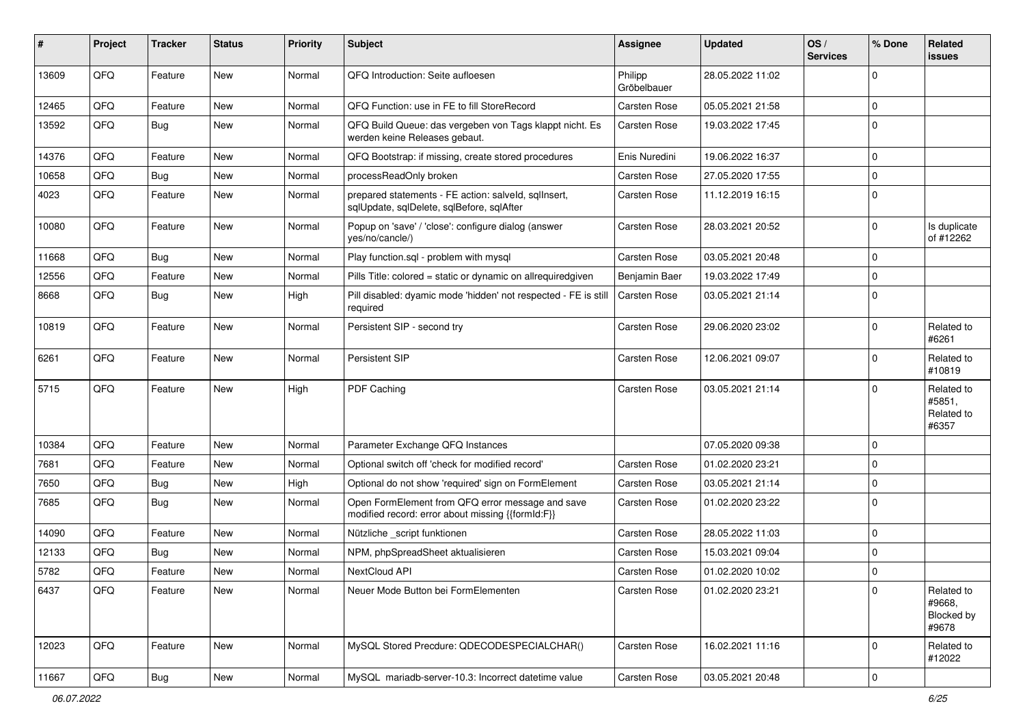| #     | Project | <b>Tracker</b> | <b>Status</b> | <b>Priority</b> | <b>Subject</b>                                                                                        | Assignee               | <b>Updated</b>   | OS/<br><b>Services</b> | % Done      | Related<br><b>issues</b>                           |
|-------|---------|----------------|---------------|-----------------|-------------------------------------------------------------------------------------------------------|------------------------|------------------|------------------------|-------------|----------------------------------------------------|
| 13609 | QFQ     | Feature        | <b>New</b>    | Normal          | QFQ Introduction: Seite aufloesen                                                                     | Philipp<br>Gröbelbauer | 28.05.2022 11:02 |                        | $\Omega$    |                                                    |
| 12465 | QFQ     | Feature        | <b>New</b>    | Normal          | QFQ Function: use in FE to fill StoreRecord                                                           | Carsten Rose           | 05.05.2021 21:58 |                        | $\Omega$    |                                                    |
| 13592 | QFQ     | Bug            | New           | Normal          | QFQ Build Queue: das vergeben von Tags klappt nicht. Es<br>werden keine Releases gebaut.              | Carsten Rose           | 19.03.2022 17:45 |                        | $\Omega$    |                                                    |
| 14376 | QFQ     | Feature        | <b>New</b>    | Normal          | QFQ Bootstrap: if missing, create stored procedures                                                   | Enis Nuredini          | 19.06.2022 16:37 |                        | $\mathbf 0$ |                                                    |
| 10658 | QFQ     | <b>Bug</b>     | <b>New</b>    | Normal          | processReadOnly broken                                                                                | Carsten Rose           | 27.05.2020 17:55 |                        | $\mathbf 0$ |                                                    |
| 4023  | QFQ     | Feature        | New           | Normal          | prepared statements - FE action: salveld, sqlInsert,<br>sqlUpdate, sqlDelete, sqlBefore, sqlAfter     | Carsten Rose           | 11.12.2019 16:15 |                        | $\Omega$    |                                                    |
| 10080 | QFQ     | Feature        | New           | Normal          | Popup on 'save' / 'close': configure dialog (answer<br>yes/no/cancle/)                                | Carsten Rose           | 28.03.2021 20:52 |                        | $\Omega$    | Is duplicate<br>of #12262                          |
| 11668 | QFQ     | Bug            | <b>New</b>    | Normal          | Play function.sql - problem with mysql                                                                | Carsten Rose           | 03.05.2021 20:48 |                        | $\Omega$    |                                                    |
| 12556 | QFQ     | Feature        | <b>New</b>    | Normal          | Pills Title: colored = static or dynamic on allrequiredgiven                                          | Benjamin Baer          | 19.03.2022 17:49 |                        | 0           |                                                    |
| 8668  | QFQ     | Bug            | <b>New</b>    | High            | Pill disabled: dyamic mode 'hidden' not respected - FE is still<br>required                           | Carsten Rose           | 03.05.2021 21:14 |                        | $\Omega$    |                                                    |
| 10819 | QFQ     | Feature        | New           | Normal          | Persistent SIP - second try                                                                           | Carsten Rose           | 29.06.2020 23:02 |                        | $\Omega$    | Related to<br>#6261                                |
| 6261  | QFQ     | Feature        | New           | Normal          | Persistent SIP                                                                                        | Carsten Rose           | 12.06.2021 09:07 |                        | $\mathbf 0$ | Related to<br>#10819                               |
| 5715  | QFQ     | Feature        | New           | High            | PDF Caching                                                                                           | Carsten Rose           | 03.05.2021 21:14 |                        | $\Omega$    | Related to<br>#5851,<br>Related to<br>#6357        |
| 10384 | QFQ     | Feature        | <b>New</b>    | Normal          | Parameter Exchange QFQ Instances                                                                      |                        | 07.05.2020 09:38 |                        | $\mathbf 0$ |                                                    |
| 7681  | QFQ     | Feature        | <b>New</b>    | Normal          | Optional switch off 'check for modified record'                                                       | Carsten Rose           | 01.02.2020 23:21 |                        | $\Omega$    |                                                    |
| 7650  | QFQ     | Bug            | <b>New</b>    | High            | Optional do not show 'required' sign on FormElement                                                   | Carsten Rose           | 03.05.2021 21:14 |                        | $\mathbf 0$ |                                                    |
| 7685  | QFQ     | Bug            | New           | Normal          | Open FormElement from QFQ error message and save<br>modified record: error about missing {{formId:F}} | Carsten Rose           | 01.02.2020 23:22 |                        | $\Omega$    |                                                    |
| 14090 | QFQ     | Feature        | New           | Normal          | Nützliche _script funktionen                                                                          | Carsten Rose           | 28.05.2022 11:03 |                        | $\mathbf 0$ |                                                    |
| 12133 | QFQ     | Bug            | <b>New</b>    | Normal          | NPM, phpSpreadSheet aktualisieren                                                                     | Carsten Rose           | 15.03.2021 09:04 |                        | $\Omega$    |                                                    |
| 5782  | QFQ     | Feature        | <b>New</b>    | Normal          | NextCloud API                                                                                         | Carsten Rose           | 01.02.2020 10:02 |                        | $\Omega$    |                                                    |
| 6437  | QFQ     | Feature        | New           | Normal          | Neuer Mode Button bei FormElementen                                                                   | Carsten Rose           | 01.02.2020 23:21 |                        | $\mathbf 0$ | Related to<br>#9668,<br><b>Blocked by</b><br>#9678 |
| 12023 | QFQ     | Feature        | New           | Normal          | MySQL Stored Precdure: QDECODESPECIALCHAR()                                                           | Carsten Rose           | 16.02.2021 11:16 |                        | $\mathbf 0$ | Related to<br>#12022                               |
| 11667 | QFQ     | <b>Bug</b>     | New           | Normal          | MySQL mariadb-server-10.3: Incorrect datetime value                                                   | Carsten Rose           | 03.05.2021 20:48 |                        | $\pmb{0}$   |                                                    |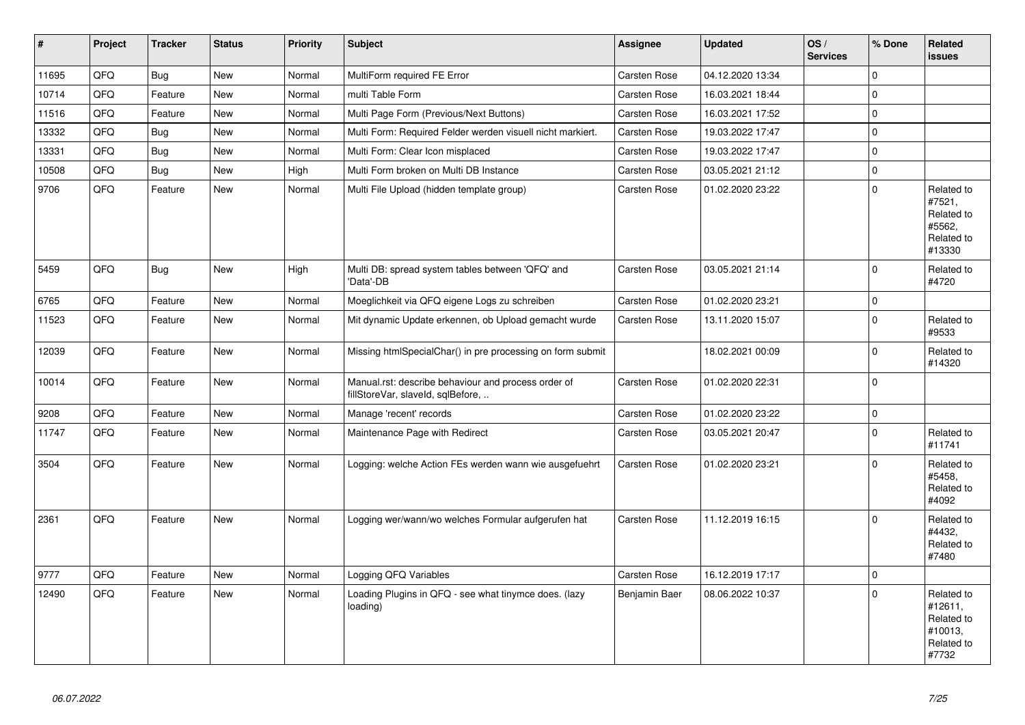| $\vert$ # | Project | <b>Tracker</b> | <b>Status</b> | <b>Priority</b> | <b>Subject</b>                                                                           | Assignee      | <b>Updated</b>   | OS/<br><b>Services</b> | % Done              | Related<br><b>issues</b>                                              |
|-----------|---------|----------------|---------------|-----------------|------------------------------------------------------------------------------------------|---------------|------------------|------------------------|---------------------|-----------------------------------------------------------------------|
| 11695     | QFQ     | Bug            | <b>New</b>    | Normal          | MultiForm required FE Error                                                              | Carsten Rose  | 04.12.2020 13:34 |                        | $\Omega$            |                                                                       |
| 10714     | QFQ     | Feature        | <b>New</b>    | Normal          | multi Table Form                                                                         | Carsten Rose  | 16.03.2021 18:44 |                        | $\pmb{0}$           |                                                                       |
| 11516     | QFQ     | Feature        | <b>New</b>    | Normal          | Multi Page Form (Previous/Next Buttons)                                                  | Carsten Rose  | 16.03.2021 17:52 |                        | $\mathbf 0$         |                                                                       |
| 13332     | QFQ     | Bug            | <b>New</b>    | Normal          | Multi Form: Required Felder werden visuell nicht markiert.                               | Carsten Rose  | 19.03.2022 17:47 |                        | $\mathsf{O}\xspace$ |                                                                       |
| 13331     | QFQ     | Bug            | <b>New</b>    | Normal          | Multi Form: Clear Icon misplaced                                                         | Carsten Rose  | 19.03.2022 17:47 |                        | $\mathbf 0$         |                                                                       |
| 10508     | QFQ     | Bug            | <b>New</b>    | High            | Multi Form broken on Multi DB Instance                                                   | Carsten Rose  | 03.05.2021 21:12 |                        | $\mathsf{O}\xspace$ |                                                                       |
| 9706      | QFQ     | Feature        | <b>New</b>    | Normal          | Multi File Upload (hidden template group)                                                | Carsten Rose  | 01.02.2020 23:22 |                        | $\Omega$            | Related to<br>#7521,<br>Related to<br>#5562,<br>Related to<br>#13330  |
| 5459      | QFQ     | Bug            | <b>New</b>    | High            | Multi DB: spread system tables between 'QFQ' and<br>'Data'-DB                            | Carsten Rose  | 03.05.2021 21:14 |                        | $\Omega$            | Related to<br>#4720                                                   |
| 6765      | QFQ     | Feature        | <b>New</b>    | Normal          | Moeglichkeit via QFQ eigene Logs zu schreiben                                            | Carsten Rose  | 01.02.2020 23:21 |                        | $\mathsf{O}\xspace$ |                                                                       |
| 11523     | QFQ     | Feature        | <b>New</b>    | Normal          | Mit dynamic Update erkennen, ob Upload gemacht wurde                                     | Carsten Rose  | 13.11.2020 15:07 |                        | $\Omega$            | Related to<br>#9533                                                   |
| 12039     | QFQ     | Feature        | <b>New</b>    | Normal          | Missing htmlSpecialChar() in pre processing on form submit                               |               | 18.02.2021 00:09 |                        | $\mathbf 0$         | Related to<br>#14320                                                  |
| 10014     | QFQ     | Feature        | <b>New</b>    | Normal          | Manual.rst: describe behaviour and process order of<br>fillStoreVar, slaveId, sqlBefore, | Carsten Rose  | 01.02.2020 22:31 |                        | $\mathbf 0$         |                                                                       |
| 9208      | QFQ     | Feature        | <b>New</b>    | Normal          | Manage 'recent' records                                                                  | Carsten Rose  | 01.02.2020 23:22 |                        | $\mathbf 0$         |                                                                       |
| 11747     | QFQ     | Feature        | <b>New</b>    | Normal          | Maintenance Page with Redirect                                                           | Carsten Rose  | 03.05.2021 20:47 |                        | $\mathbf{0}$        | Related to<br>#11741                                                  |
| 3504      | QFQ     | Feature        | <b>New</b>    | Normal          | Logging: welche Action FEs werden wann wie ausgefuehrt                                   | Carsten Rose  | 01.02.2020 23:21 |                        | $\Omega$            | Related to<br>#5458.<br>Related to<br>#4092                           |
| 2361      | QFQ     | Feature        | <b>New</b>    | Normal          | Logging wer/wann/wo welches Formular aufgerufen hat                                      | Carsten Rose  | 11.12.2019 16:15 |                        | $\Omega$            | Related to<br>#4432,<br>Related to<br>#7480                           |
| 9777      | QFQ     | Feature        | <b>New</b>    | Normal          | Logging QFQ Variables                                                                    | Carsten Rose  | 16.12.2019 17:17 |                        | $\mathbf 0$         |                                                                       |
| 12490     | QFQ     | Feature        | <b>New</b>    | Normal          | Loading Plugins in QFQ - see what tinymce does. (lazy<br>loading)                        | Benjamin Baer | 08.06.2022 10:37 |                        | $\Omega$            | Related to<br>#12611,<br>Related to<br>#10013,<br>Related to<br>#7732 |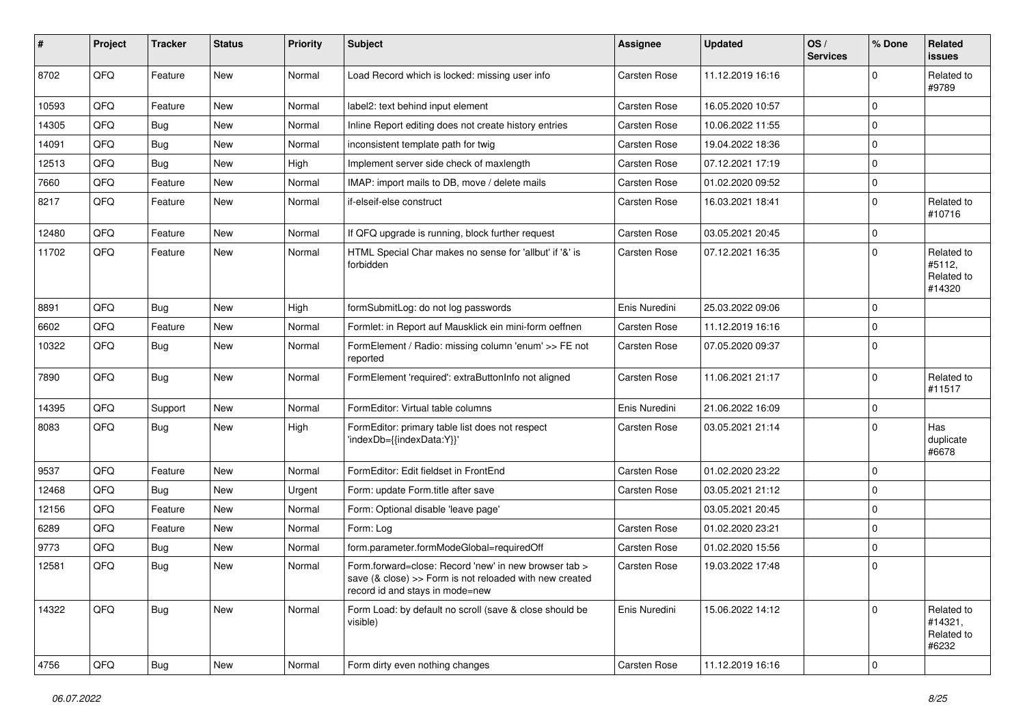| #     | Project | <b>Tracker</b> | <b>Status</b> | <b>Priority</b> | <b>Subject</b>                                                                                                                                      | <b>Assignee</b>     | <b>Updated</b>   | OS/<br><b>Services</b> | % Done              | <b>Related</b><br><b>issues</b>              |
|-------|---------|----------------|---------------|-----------------|-----------------------------------------------------------------------------------------------------------------------------------------------------|---------------------|------------------|------------------------|---------------------|----------------------------------------------|
| 8702  | QFQ     | Feature        | <b>New</b>    | Normal          | Load Record which is locked: missing user info                                                                                                      | <b>Carsten Rose</b> | 11.12.2019 16:16 |                        | $\Omega$            | Related to<br>#9789                          |
| 10593 | QFQ     | Feature        | <b>New</b>    | Normal          | label2: text behind input element                                                                                                                   | <b>Carsten Rose</b> | 16.05.2020 10:57 |                        | $\mathbf 0$         |                                              |
| 14305 | QFQ     | <b>Bug</b>     | <b>New</b>    | Normal          | Inline Report editing does not create history entries                                                                                               | <b>Carsten Rose</b> | 10.06.2022 11:55 |                        | $\mathbf 0$         |                                              |
| 14091 | QFQ     | <b>Bug</b>     | <b>New</b>    | Normal          | inconsistent template path for twig                                                                                                                 | <b>Carsten Rose</b> | 19.04.2022 18:36 |                        | $\mathbf 0$         |                                              |
| 12513 | QFQ     | Bug            | <b>New</b>    | High            | Implement server side check of maxlength                                                                                                            | Carsten Rose        | 07.12.2021 17:19 |                        | $\mathbf 0$         |                                              |
| 7660  | QFQ     | Feature        | <b>New</b>    | Normal          | IMAP: import mails to DB, move / delete mails                                                                                                       | Carsten Rose        | 01.02.2020 09:52 |                        | $\mathbf 0$         |                                              |
| 8217  | QFQ     | Feature        | New           | Normal          | if-elseif-else construct                                                                                                                            | Carsten Rose        | 16.03.2021 18:41 |                        | $\Omega$            | Related to<br>#10716                         |
| 12480 | QFQ     | Feature        | <b>New</b>    | Normal          | If QFQ upgrade is running, block further request                                                                                                    | Carsten Rose        | 03.05.2021 20:45 |                        | $\mathbf 0$         |                                              |
| 11702 | QFQ     | Feature        | New           | Normal          | HTML Special Char makes no sense for 'allbut' if '&' is<br>forbidden                                                                                | <b>Carsten Rose</b> | 07.12.2021 16:35 |                        | $\mathbf 0$         | Related to<br>#5112,<br>Related to<br>#14320 |
| 8891  | QFQ     | Bug            | <b>New</b>    | High            | formSubmitLog: do not log passwords                                                                                                                 | Enis Nuredini       | 25.03.2022 09:06 |                        | $\Omega$            |                                              |
| 6602  | QFQ     | Feature        | <b>New</b>    | Normal          | Formlet: in Report auf Mausklick ein mini-form oeffnen                                                                                              | <b>Carsten Rose</b> | 11.12.2019 16:16 |                        | $\mathbf 0$         |                                              |
| 10322 | QFQ     | Bug            | New           | Normal          | FormElement / Radio: missing column 'enum' >> FE not<br>reported                                                                                    | Carsten Rose        | 07.05.2020 09:37 |                        | $\Omega$            |                                              |
| 7890  | QFQ     | Bug            | <b>New</b>    | Normal          | FormElement 'required': extraButtonInfo not aligned                                                                                                 | Carsten Rose        | 11.06.2021 21:17 |                        | $\Omega$            | Related to<br>#11517                         |
| 14395 | QFQ     | Support        | <b>New</b>    | Normal          | FormEditor: Virtual table columns                                                                                                                   | Enis Nuredini       | 21.06.2022 16:09 |                        | $\mathbf 0$         |                                              |
| 8083  | QFQ     | Bug            | New           | High            | FormEditor: primary table list does not respect<br>'indexDb={{indexData:Y}}'                                                                        | <b>Carsten Rose</b> | 03.05.2021 21:14 |                        | $\mathbf 0$         | Has<br>duplicate<br>#6678                    |
| 9537  | QFQ     | Feature        | <b>New</b>    | Normal          | FormEditor: Edit fieldset in FrontEnd                                                                                                               | <b>Carsten Rose</b> | 01.02.2020 23:22 |                        | $\mathbf 0$         |                                              |
| 12468 | QFQ     | <b>Bug</b>     | <b>New</b>    | Urgent          | Form: update Form.title after save                                                                                                                  | Carsten Rose        | 03.05.2021 21:12 |                        | $\mathbf 0$         |                                              |
| 12156 | QFQ     | Feature        | New           | Normal          | Form: Optional disable 'leave page'                                                                                                                 |                     | 03.05.2021 20:45 |                        | $\mathbf 0$         |                                              |
| 6289  | QFQ     | Feature        | <b>New</b>    | Normal          | Form: Log                                                                                                                                           | <b>Carsten Rose</b> | 01.02.2020 23:21 |                        | $\mathbf 0$         |                                              |
| 9773  | QFQ     | <b>Bug</b>     | New           | Normal          | form.parameter.formModeGlobal=requiredOff                                                                                                           | <b>Carsten Rose</b> | 01.02.2020 15:56 |                        | 0                   |                                              |
| 12581 | QFQ     | Bug            | New           | Normal          | Form.forward=close: Record 'new' in new browser tab ><br>save (& close) >> Form is not reloaded with new created<br>record id and stays in mode=new | Carsten Rose        | 19.03.2022 17:48 |                        | $\mathbf 0$         |                                              |
| 14322 | QFQ     | <b>Bug</b>     | New           | Normal          | Form Load: by default no scroll (save & close should be<br>visible)                                                                                 | Enis Nuredini       | 15.06.2022 14:12 |                        | $\mathbf 0$         | Related to<br>#14321,<br>Related to<br>#6232 |
| 4756  | QFQ     | Bug            | New           | Normal          | Form dirty even nothing changes                                                                                                                     | Carsten Rose        | 11.12.2019 16:16 |                        | $\mathsf{O}\xspace$ |                                              |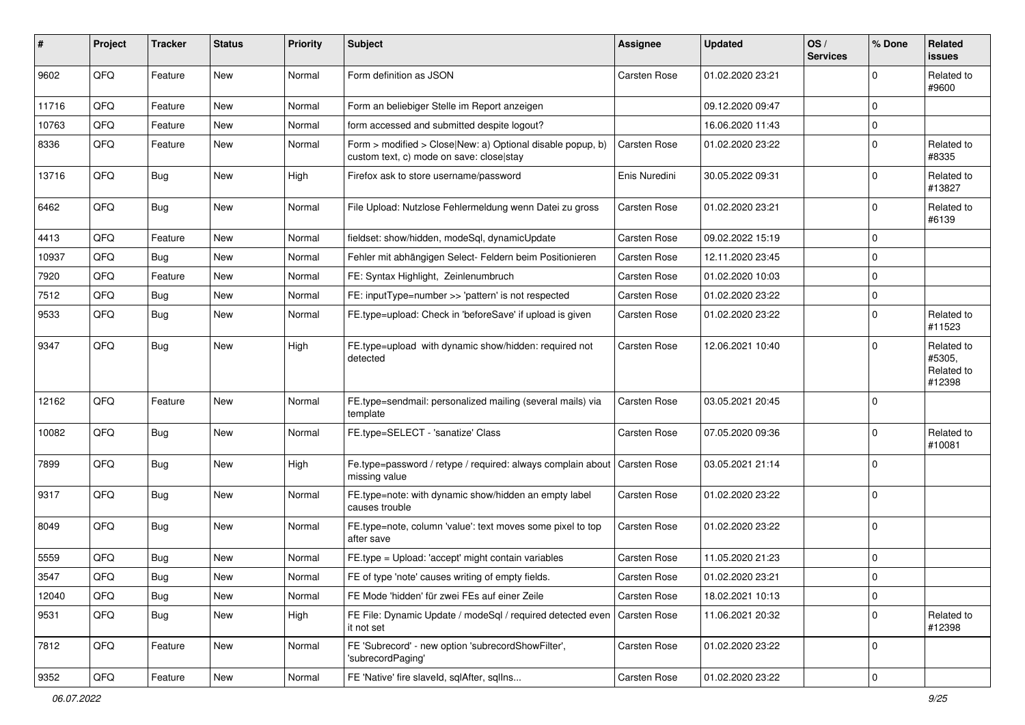| #     | Project | <b>Tracker</b> | <b>Status</b> | <b>Priority</b> | <b>Subject</b>                                                                                         | <b>Assignee</b>     | <b>Updated</b>   | OS/<br><b>Services</b> | % Done      | Related<br><b>issues</b>                     |
|-------|---------|----------------|---------------|-----------------|--------------------------------------------------------------------------------------------------------|---------------------|------------------|------------------------|-------------|----------------------------------------------|
| 9602  | QFQ     | Feature        | <b>New</b>    | Normal          | Form definition as JSON                                                                                | Carsten Rose        | 01.02.2020 23:21 |                        | $\Omega$    | Related to<br>#9600                          |
| 11716 | QFQ     | Feature        | <b>New</b>    | Normal          | Form an beliebiger Stelle im Report anzeigen                                                           |                     | 09.12.2020 09:47 |                        | $\Omega$    |                                              |
| 10763 | QFQ     | Feature        | <b>New</b>    | Normal          | form accessed and submitted despite logout?                                                            |                     | 16.06.2020 11:43 |                        | $\mathbf 0$ |                                              |
| 8336  | QFQ     | Feature        | New           | Normal          | Form > modified > Close New: a) Optional disable popup, b)<br>custom text, c) mode on save: close stay | Carsten Rose        | 01.02.2020 23:22 |                        | $\Omega$    | Related to<br>#8335                          |
| 13716 | QFQ     | Bug            | <b>New</b>    | High            | Firefox ask to store username/password                                                                 | Enis Nuredini       | 30.05.2022 09:31 |                        | $\mathbf 0$ | Related to<br>#13827                         |
| 6462  | QFQ     | <b>Bug</b>     | <b>New</b>    | Normal          | File Upload: Nutzlose Fehlermeldung wenn Datei zu gross                                                | Carsten Rose        | 01.02.2020 23:21 |                        | $\Omega$    | Related to<br>#6139                          |
| 4413  | QFQ     | Feature        | <b>New</b>    | Normal          | fieldset: show/hidden, modeSql, dynamicUpdate                                                          | Carsten Rose        | 09.02.2022 15:19 |                        | $\Omega$    |                                              |
| 10937 | QFQ     | Bug            | New           | Normal          | Fehler mit abhängigen Select- Feldern beim Positionieren                                               | Carsten Rose        | 12.11.2020 23:45 |                        | $\mathbf 0$ |                                              |
| 7920  | QFQ     | Feature        | <b>New</b>    | Normal          | FE: Syntax Highlight, Zeinlenumbruch                                                                   | Carsten Rose        | 01.02.2020 10:03 |                        | $\mathbf 0$ |                                              |
| 7512  | QFQ     | <b>Bug</b>     | <b>New</b>    | Normal          | FE: inputType=number >> 'pattern' is not respected                                                     | Carsten Rose        | 01.02.2020 23:22 |                        | $\mathbf 0$ |                                              |
| 9533  | QFQ     | <b>Bug</b>     | New           | Normal          | FE.type=upload: Check in 'beforeSave' if upload is given                                               | Carsten Rose        | 01.02.2020 23:22 |                        | $\Omega$    | Related to<br>#11523                         |
| 9347  | QFQ     | <b>Bug</b>     | <b>New</b>    | High            | FE.type=upload with dynamic show/hidden: required not<br>detected                                      | Carsten Rose        | 12.06.2021 10:40 |                        | $\Omega$    | Related to<br>#5305,<br>Related to<br>#12398 |
| 12162 | QFQ     | Feature        | <b>New</b>    | Normal          | FE.type=sendmail: personalized mailing (several mails) via<br>template                                 | Carsten Rose        | 03.05.2021 20:45 |                        | $\Omega$    |                                              |
| 10082 | QFQ     | Bug            | New           | Normal          | FE.type=SELECT - 'sanatize' Class                                                                      | Carsten Rose        | 07.05.2020 09:36 |                        | $\Omega$    | Related to<br>#10081                         |
| 7899  | QFQ     | Bug            | <b>New</b>    | High            | Fe.type=password / retype / required: always complain about<br>missing value                           | <b>Carsten Rose</b> | 03.05.2021 21:14 |                        | $\Omega$    |                                              |
| 9317  | QFQ     | Bug            | <b>New</b>    | Normal          | FE.type=note: with dynamic show/hidden an empty label<br>causes trouble                                | Carsten Rose        | 01.02.2020 23:22 |                        | $\Omega$    |                                              |
| 8049  | QFQ     | <b>Bug</b>     | <b>New</b>    | Normal          | FE.type=note, column 'value': text moves some pixel to top<br>after save                               | Carsten Rose        | 01.02.2020 23:22 |                        | $\Omega$    |                                              |
| 5559  | QFQ     | <b>Bug</b>     | <b>New</b>    | Normal          | FE.type = Upload: 'accept' might contain variables                                                     | Carsten Rose        | 11.05.2020 21:23 |                        | $\Omega$    |                                              |
| 3547  | QFQ     | Bug            | New           | Normal          | FE of type 'note' causes writing of empty fields.                                                      | <b>Carsten Rose</b> | 01.02.2020 23:21 |                        | $\mathbf 0$ |                                              |
| 12040 | QFQ     | Bug            | New           | Normal          | FE Mode 'hidden' für zwei FEs auf einer Zeile                                                          | Carsten Rose        | 18.02.2021 10:13 |                        | $\mathbf 0$ |                                              |
| 9531  | QFQ     | <b>Bug</b>     | New           | High            | FE File: Dynamic Update / modeSql / required detected even<br>it not set                               | <b>Carsten Rose</b> | 11.06.2021 20:32 |                        | $\mathbf 0$ | Related to<br>#12398                         |
| 7812  | QFQ     | Feature        | New           | Normal          | FE 'Subrecord' - new option 'subrecordShowFilter',<br>'subrecordPaging'                                | Carsten Rose        | 01.02.2020 23:22 |                        | $\mathbf 0$ |                                              |
| 9352  | QFQ     | Feature        | New           | Normal          | FE 'Native' fire slaveld, sqlAfter, sqlIns                                                             | Carsten Rose        | 01.02.2020 23:22 |                        | $\pmb{0}$   |                                              |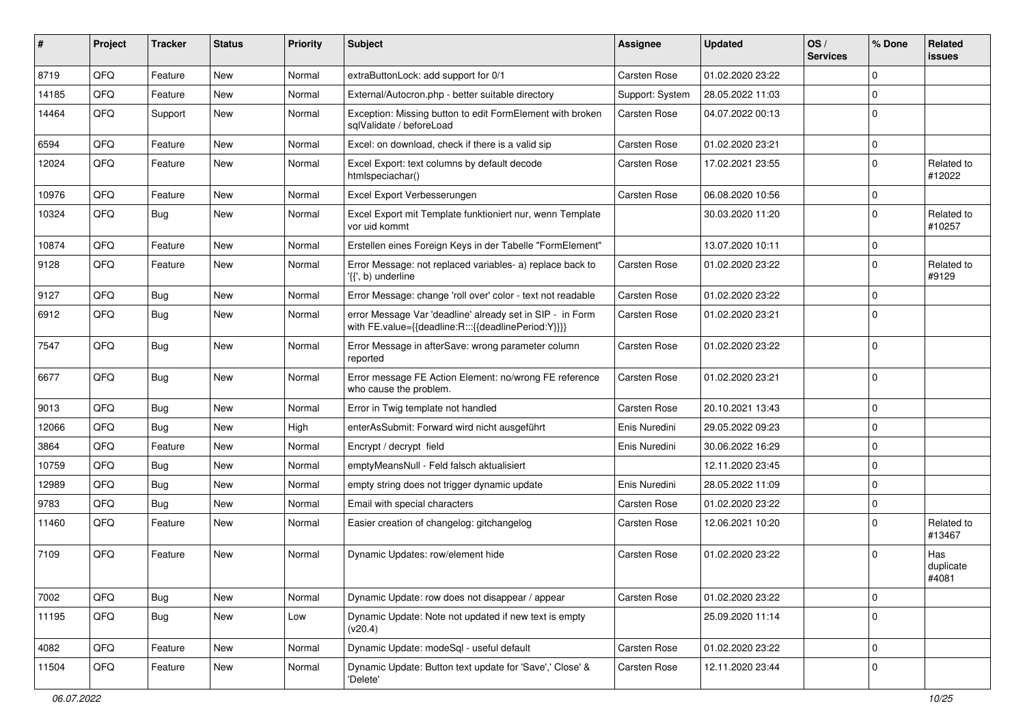| ∦     | Project | <b>Tracker</b> | <b>Status</b> | <b>Priority</b> | Subject                                                                                                          | Assignee        | <b>Updated</b>   | OS/<br><b>Services</b> | % Done      | Related<br><b>issues</b>  |
|-------|---------|----------------|---------------|-----------------|------------------------------------------------------------------------------------------------------------------|-----------------|------------------|------------------------|-------------|---------------------------|
| 8719  | QFQ     | Feature        | <b>New</b>    | Normal          | extraButtonLock: add support for 0/1                                                                             | Carsten Rose    | 01.02.2020 23:22 |                        | $\Omega$    |                           |
| 14185 | QFQ     | Feature        | <b>New</b>    | Normal          | External/Autocron.php - better suitable directory                                                                | Support: System | 28.05.2022 11:03 |                        | $\mathbf 0$ |                           |
| 14464 | QFQ     | Support        | New           | Normal          | Exception: Missing button to edit FormElement with broken<br>sqlValidate / beforeLoad                            | Carsten Rose    | 04.07.2022 00:13 |                        | $\Omega$    |                           |
| 6594  | QFQ     | Feature        | New           | Normal          | Excel: on download, check if there is a valid sip                                                                | Carsten Rose    | 01.02.2020 23:21 |                        | $\mathbf 0$ |                           |
| 12024 | QFQ     | Feature        | New           | Normal          | Excel Export: text columns by default decode<br>htmlspeciachar()                                                 | Carsten Rose    | 17.02.2021 23:55 |                        | $\Omega$    | Related to<br>#12022      |
| 10976 | QFQ     | Feature        | <b>New</b>    | Normal          | Excel Export Verbesserungen                                                                                      | Carsten Rose    | 06.08.2020 10:56 |                        | 0           |                           |
| 10324 | QFQ     | Bug            | New           | Normal          | Excel Export mit Template funktioniert nur, wenn Template<br>vor uid kommt                                       |                 | 30.03.2020 11:20 |                        | $\Omega$    | Related to<br>#10257      |
| 10874 | QFQ     | Feature        | <b>New</b>    | Normal          | Erstellen eines Foreign Keys in der Tabelle "FormElement"                                                        |                 | 13.07.2020 10:11 |                        | $\Omega$    |                           |
| 9128  | QFQ     | Feature        | <b>New</b>    | Normal          | Error Message: not replaced variables- a) replace back to<br>'{{', b) underline                                  | Carsten Rose    | 01.02.2020 23:22 |                        | $\Omega$    | Related to<br>#9129       |
| 9127  | QFQ     | <b>Bug</b>     | <b>New</b>    | Normal          | Error Message: change 'roll over' color - text not readable                                                      | Carsten Rose    | 01.02.2020 23:22 |                        | $\Omega$    |                           |
| 6912  | QFQ     | <b>Bug</b>     | New           | Normal          | error Message Var 'deadline' already set in SIP - in Form<br>with FE.value={{deadline:R:::{{deadlinePeriod:Y}}}} | Carsten Rose    | 01.02.2020 23:21 |                        | $\Omega$    |                           |
| 7547  | QFQ     | <b>Bug</b>     | <b>New</b>    | Normal          | Error Message in afterSave: wrong parameter column<br>reported                                                   | Carsten Rose    | 01.02.2020 23:22 |                        | $\mathbf 0$ |                           |
| 6677  | QFQ     | Bug            | New           | Normal          | Error message FE Action Element: no/wrong FE reference<br>who cause the problem.                                 | Carsten Rose    | 01.02.2020 23:21 |                        | $\Omega$    |                           |
| 9013  | QFQ     | <b>Bug</b>     | <b>New</b>    | Normal          | Error in Twig template not handled                                                                               | Carsten Rose    | 20.10.2021 13:43 |                        | $\mathbf 0$ |                           |
| 12066 | QFQ     | <b>Bug</b>     | New           | High            | enterAsSubmit: Forward wird nicht ausgeführt                                                                     | Enis Nuredini   | 29.05.2022 09:23 |                        | $\Omega$    |                           |
| 3864  | QFQ     | Feature        | <b>New</b>    | Normal          | Encrypt / decrypt field                                                                                          | Enis Nuredini   | 30.06.2022 16:29 |                        | $\Omega$    |                           |
| 10759 | QFQ     | <b>Bug</b>     | <b>New</b>    | Normal          | emptyMeansNull - Feld falsch aktualisiert                                                                        |                 | 12.11.2020 23:45 |                        | $\mathbf 0$ |                           |
| 12989 | QFQ     | <b>Bug</b>     | <b>New</b>    | Normal          | empty string does not trigger dynamic update                                                                     | Enis Nuredini   | 28.05.2022 11:09 |                        | $\Omega$    |                           |
| 9783  | QFQ     | <b>Bug</b>     | New           | Normal          | Email with special characters                                                                                    | Carsten Rose    | 01.02.2020 23:22 |                        | $\mathbf 0$ |                           |
| 11460 | QFQ     | Feature        | New           | Normal          | Easier creation of changelog: gitchangelog                                                                       | Carsten Rose    | 12.06.2021 10:20 |                        | $\Omega$    | Related to<br>#13467      |
| 7109  | QFQ     | Feature        | <b>New</b>    | Normal          | Dynamic Updates: row/element hide                                                                                | Carsten Rose    | 01.02.2020 23:22 |                        | $\Omega$    | Has<br>duplicate<br>#4081 |
| 7002  | QFQ     | <b>Bug</b>     | New           | Normal          | Dynamic Update: row does not disappear / appear                                                                  | Carsten Rose    | 01.02.2020 23:22 |                        | $\mathbf 0$ |                           |
| 11195 | QFQ     | <b>Bug</b>     | New           | Low             | Dynamic Update: Note not updated if new text is empty<br>(v20.4)                                                 |                 | 25.09.2020 11:14 |                        | $\Omega$    |                           |
| 4082  | QFQ     | Feature        | New           | Normal          | Dynamic Update: modeSql - useful default                                                                         | Carsten Rose    | 01.02.2020 23:22 |                        | 0           |                           |
| 11504 | QFQ     | Feature        | New           | Normal          | Dynamic Update: Button text update for 'Save',' Close' &<br>'Delete'                                             | Carsten Rose    | 12.11.2020 23:44 |                        | $\mathbf 0$ |                           |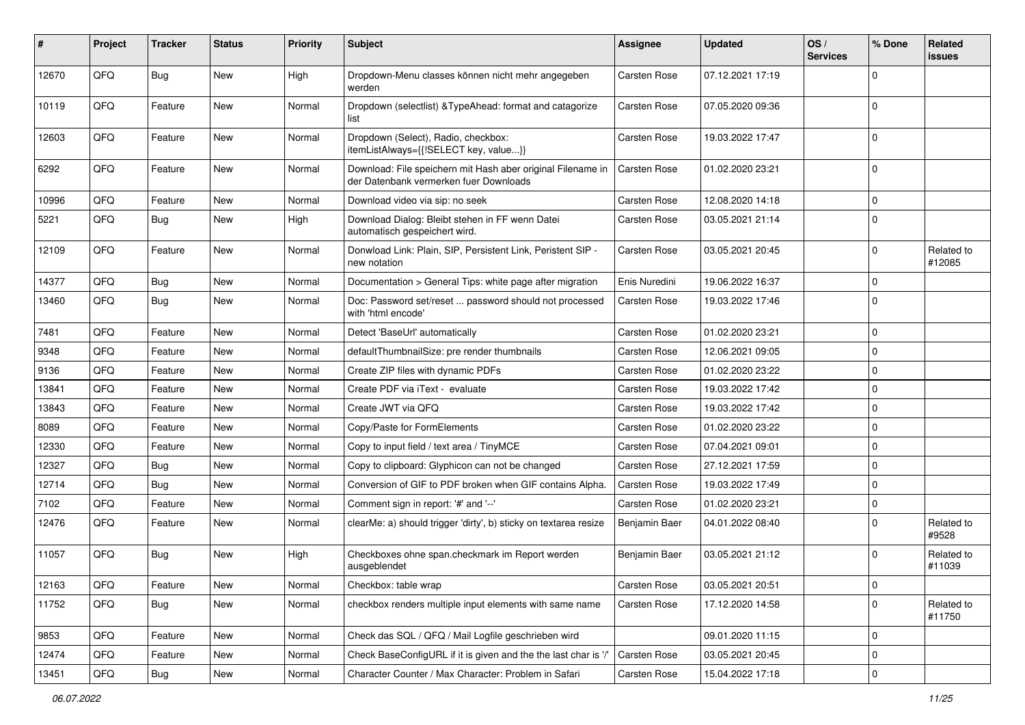| #     | Project | <b>Tracker</b> | <b>Status</b> | <b>Priority</b> | Subject                                                                                               | Assignee            | <b>Updated</b>   | OS/<br><b>Services</b> | % Done         | Related<br><b>issues</b> |
|-------|---------|----------------|---------------|-----------------|-------------------------------------------------------------------------------------------------------|---------------------|------------------|------------------------|----------------|--------------------------|
| 12670 | QFQ     | Bug            | <b>New</b>    | High            | Dropdown-Menu classes können nicht mehr angegeben<br>werden                                           | Carsten Rose        | 07.12.2021 17:19 |                        | $\mathbf 0$    |                          |
| 10119 | QFQ     | Feature        | New           | Normal          | Dropdown (selectlist) & TypeAhead: format and catagorize<br>list                                      | <b>Carsten Rose</b> | 07.05.2020 09:36 |                        | $\mathbf 0$    |                          |
| 12603 | QFQ     | Feature        | <b>New</b>    | Normal          | Dropdown (Select), Radio, checkbox:<br>itemListAlways={{!SELECT key, value}}                          | <b>Carsten Rose</b> | 19.03.2022 17:47 |                        | $\mathbf 0$    |                          |
| 6292  | QFQ     | Feature        | <b>New</b>    | Normal          | Download: File speichern mit Hash aber original Filename in<br>der Datenbank vermerken fuer Downloads | <b>Carsten Rose</b> | 01.02.2020 23:21 |                        | $\overline{0}$ |                          |
| 10996 | QFQ     | Feature        | <b>New</b>    | Normal          | Download video via sip: no seek                                                                       | <b>Carsten Rose</b> | 12.08.2020 14:18 |                        | $\overline{0}$ |                          |
| 5221  | QFQ     | Bug            | <b>New</b>    | High            | Download Dialog: Bleibt stehen in FF wenn Datei<br>automatisch gespeichert wird.                      | <b>Carsten Rose</b> | 03.05.2021 21:14 |                        | $\overline{0}$ |                          |
| 12109 | QFQ     | Feature        | <b>New</b>    | Normal          | Donwload Link: Plain, SIP, Persistent Link, Peristent SIP -<br>new notation                           | Carsten Rose        | 03.05.2021 20:45 |                        | $\mathbf 0$    | Related to<br>#12085     |
| 14377 | QFQ     | Bug            | <b>New</b>    | Normal          | Documentation > General Tips: white page after migration                                              | Enis Nuredini       | 19.06.2022 16:37 |                        | $\mathbf 0$    |                          |
| 13460 | QFQ     | Bug            | <b>New</b>    | Normal          | Doc: Password set/reset  password should not processed<br>with 'html encode'                          | <b>Carsten Rose</b> | 19.03.2022 17:46 |                        | $\mathbf 0$    |                          |
| 7481  | QFQ     | Feature        | <b>New</b>    | Normal          | Detect 'BaseUrl' automatically                                                                        | Carsten Rose        | 01.02.2020 23:21 |                        | $\overline{0}$ |                          |
| 9348  | QFQ     | Feature        | New           | Normal          | defaultThumbnailSize: pre render thumbnails                                                           | <b>Carsten Rose</b> | 12.06.2021 09:05 |                        | $\overline{0}$ |                          |
| 9136  | QFQ     | Feature        | <b>New</b>    | Normal          | Create ZIP files with dynamic PDFs                                                                    | <b>Carsten Rose</b> | 01.02.2020 23:22 |                        | $\mathbf 0$    |                          |
| 13841 | QFQ     | Feature        | <b>New</b>    | Normal          | Create PDF via iText - evaluate                                                                       | <b>Carsten Rose</b> | 19.03.2022 17:42 |                        | $\mathbf 0$    |                          |
| 13843 | QFQ     | Feature        | <b>New</b>    | Normal          | Create JWT via QFQ                                                                                    | <b>Carsten Rose</b> | 19.03.2022 17:42 |                        | $\mathbf 0$    |                          |
| 8089  | QFQ     | Feature        | New           | Normal          | Copy/Paste for FormElements                                                                           | Carsten Rose        | 01.02.2020 23:22 |                        | $\overline{0}$ |                          |
| 12330 | QFQ     | Feature        | <b>New</b>    | Normal          | Copy to input field / text area / TinyMCE                                                             | <b>Carsten Rose</b> | 07.04.2021 09:01 |                        | $\mathbf 0$    |                          |
| 12327 | QFQ     | <b>Bug</b>     | <b>New</b>    | Normal          | Copy to clipboard: Glyphicon can not be changed                                                       | <b>Carsten Rose</b> | 27.12.2021 17:59 |                        | $\mathbf 0$    |                          |
| 12714 | QFQ     | <b>Bug</b>     | <b>New</b>    | Normal          | Conversion of GIF to PDF broken when GIF contains Alpha.                                              | <b>Carsten Rose</b> | 19.03.2022 17:49 |                        | $\mathbf 0$    |                          |
| 7102  | QFQ     | Feature        | New           | Normal          | Comment sign in report: '#' and '--'                                                                  | Carsten Rose        | 01.02.2020 23:21 |                        | $\overline{0}$ |                          |
| 12476 | QFQ     | Feature        | New           | Normal          | clearMe: a) should trigger 'dirty', b) sticky on textarea resize                                      | Benjamin Baer       | 04.01.2022 08:40 |                        | $\mathbf 0$    | Related to<br>#9528      |
| 11057 | QFQ     | Bug            | <b>New</b>    | High            | Checkboxes ohne span.checkmark im Report werden<br>ausgeblendet                                       | Benjamin Baer       | 03.05.2021 21:12 |                        | $\mathbf 0$    | Related to<br>#11039     |
| 12163 | QFQ     | Feature        | New           | Normal          | Checkbox: table wrap                                                                                  | <b>Carsten Rose</b> | 03.05.2021 20:51 |                        | $\overline{0}$ |                          |
| 11752 | QFQ     | Bug            | New           | Normal          | checkbox renders multiple input elements with same name                                               | Carsten Rose        | 17.12.2020 14:58 |                        | 0              | Related to<br>#11750     |
| 9853  | QFQ     | Feature        | <b>New</b>    | Normal          | Check das SQL / QFQ / Mail Logfile geschrieben wird                                                   |                     | 09.01.2020 11:15 |                        | $\overline{0}$ |                          |
| 12474 | QFQ     | Feature        | <b>New</b>    | Normal          | Check BaseConfigURL if it is given and the the last char is '/'                                       | Carsten Rose        | 03.05.2021 20:45 |                        | $\overline{0}$ |                          |
| 13451 | QFQ     | Bug            | New           | Normal          | Character Counter / Max Character: Problem in Safari                                                  | Carsten Rose        | 15.04.2022 17:18 |                        | $\overline{0}$ |                          |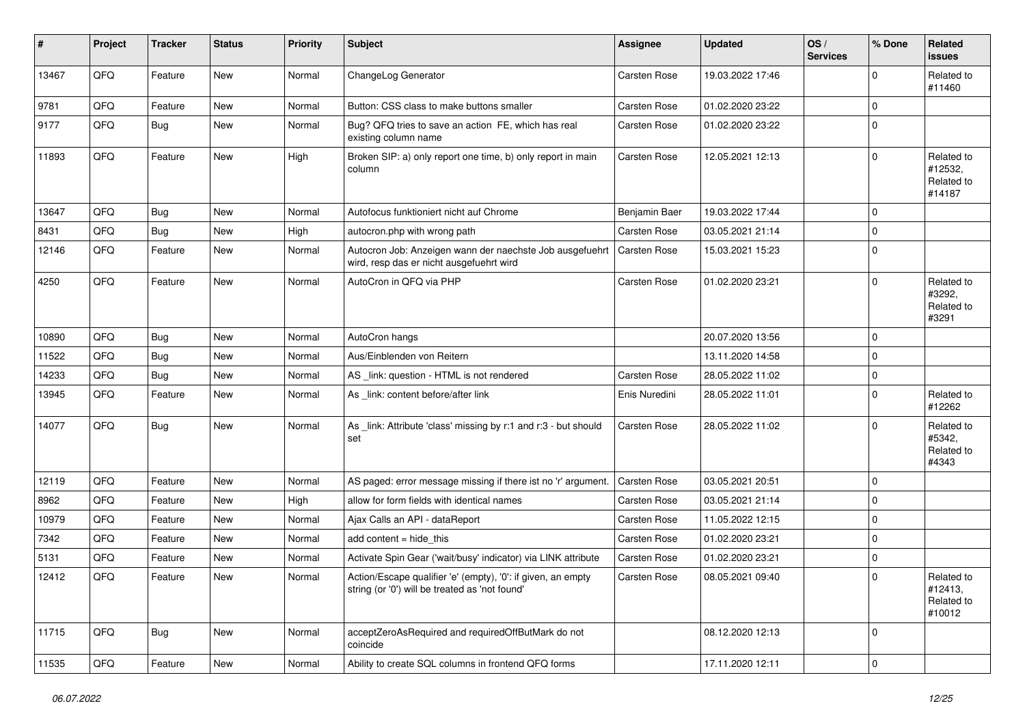| #     | Project | <b>Tracker</b> | <b>Status</b> | <b>Priority</b> | <b>Subject</b>                                                                                                 | <b>Assignee</b> | <b>Updated</b>   | OS/<br><b>Services</b> | % Done      | Related<br><b>issues</b>                      |
|-------|---------|----------------|---------------|-----------------|----------------------------------------------------------------------------------------------------------------|-----------------|------------------|------------------------|-------------|-----------------------------------------------|
| 13467 | QFQ     | Feature        | New           | Normal          | ChangeLog Generator                                                                                            | Carsten Rose    | 19.03.2022 17:46 |                        | $\Omega$    | Related to<br>#11460                          |
| 9781  | QFQ     | Feature        | <b>New</b>    | Normal          | Button: CSS class to make buttons smaller                                                                      | Carsten Rose    | 01.02.2020 23:22 |                        | $\Omega$    |                                               |
| 9177  | QFQ     | <b>Bug</b>     | New           | Normal          | Bug? QFQ tries to save an action FE, which has real<br>existing column name                                    | Carsten Rose    | 01.02.2020 23:22 |                        | $\Omega$    |                                               |
| 11893 | QFQ     | Feature        | <b>New</b>    | High            | Broken SIP: a) only report one time, b) only report in main<br>column                                          | Carsten Rose    | 12.05.2021 12:13 |                        | $\Omega$    | Related to<br>#12532,<br>Related to<br>#14187 |
| 13647 | QFQ     | <b>Bug</b>     | <b>New</b>    | Normal          | Autofocus funktioniert nicht auf Chrome                                                                        | Benjamin Baer   | 19.03.2022 17:44 |                        | $\mathbf 0$ |                                               |
| 8431  | QFQ     | <b>Bug</b>     | New           | High            | autocron.php with wrong path                                                                                   | Carsten Rose    | 03.05.2021 21:14 |                        | $\Omega$    |                                               |
| 12146 | QFQ     | Feature        | <b>New</b>    | Normal          | Autocron Job: Anzeigen wann der naechste Job ausgefuehrt<br>wird, resp das er nicht ausgefuehrt wird           | Carsten Rose    | 15.03.2021 15:23 |                        | $\Omega$    |                                               |
| 4250  | QFQ     | Feature        | <b>New</b>    | Normal          | AutoCron in QFQ via PHP                                                                                        | Carsten Rose    | 01.02.2020 23:21 |                        | $\Omega$    | Related to<br>#3292,<br>Related to<br>#3291   |
| 10890 | QFQ     | <b>Bug</b>     | New           | Normal          | AutoCron hangs                                                                                                 |                 | 20.07.2020 13:56 |                        | $\mathbf 0$ |                                               |
| 11522 | QFQ     | <b>Bug</b>     | New           | Normal          | Aus/Einblenden von Reitern                                                                                     |                 | 13.11.2020 14:58 |                        | $\Omega$    |                                               |
| 14233 | QFQ     | <b>Bug</b>     | <b>New</b>    | Normal          | AS _link: question - HTML is not rendered                                                                      | Carsten Rose    | 28.05.2022 11:02 |                        | $\Omega$    |                                               |
| 13945 | QFQ     | Feature        | <b>New</b>    | Normal          | As _link: content before/after link                                                                            | Enis Nuredini   | 28.05.2022 11:01 |                        | $\Omega$    | Related to<br>#12262                          |
| 14077 | QFQ     | <b>Bug</b>     | <b>New</b>    | Normal          | As _link: Attribute 'class' missing by r:1 and r:3 - but should<br>set                                         | Carsten Rose    | 28.05.2022 11:02 |                        | $\Omega$    | Related to<br>#5342,<br>Related to<br>#4343   |
| 12119 | QFQ     | Feature        | New           | Normal          | AS paged: error message missing if there ist no 'r' argument.                                                  | Carsten Rose    | 03.05.2021 20:51 |                        | $\Omega$    |                                               |
| 8962  | QFQ     | Feature        | New           | High            | allow for form fields with identical names                                                                     | Carsten Rose    | 03.05.2021 21:14 |                        | $\Omega$    |                                               |
| 10979 | QFQ     | Feature        | <b>New</b>    | Normal          | Ajax Calls an API - dataReport                                                                                 | Carsten Rose    | 11.05.2022 12:15 |                        | $\mathbf 0$ |                                               |
| 7342  | QFQ     | Feature        | New           | Normal          | add content $=$ hide this                                                                                      | Carsten Rose    | 01.02.2020 23:21 |                        | $\Omega$    |                                               |
| 5131  | QFQ     | Feature        | <b>New</b>    | Normal          | Activate Spin Gear ('wait/busy' indicator) via LINK attribute                                                  | Carsten Rose    | 01.02.2020 23:21 |                        | $\Omega$    |                                               |
| 12412 | QFQ     | Feature        | New           | Normal          | Action/Escape qualifier 'e' (empty), '0': if given, an empty<br>string (or '0') will be treated as 'not found' | Carsten Rose    | 08.05.2021 09:40 |                        | $\mathbf 0$ | Related to<br>#12413,<br>Related to<br>#10012 |
| 11715 | QFQ     | <b>Bug</b>     | New           | Normal          | acceptZeroAsRequired and requiredOffButMark do not<br>coincide                                                 |                 | 08.12.2020 12:13 |                        | $\mathbf 0$ |                                               |
| 11535 | QFO     | Feature        | New           | Normal          | Ability to create SQL columns in frontend QFQ forms                                                            |                 | 17.11.2020 12:11 |                        | $\mathbf 0$ |                                               |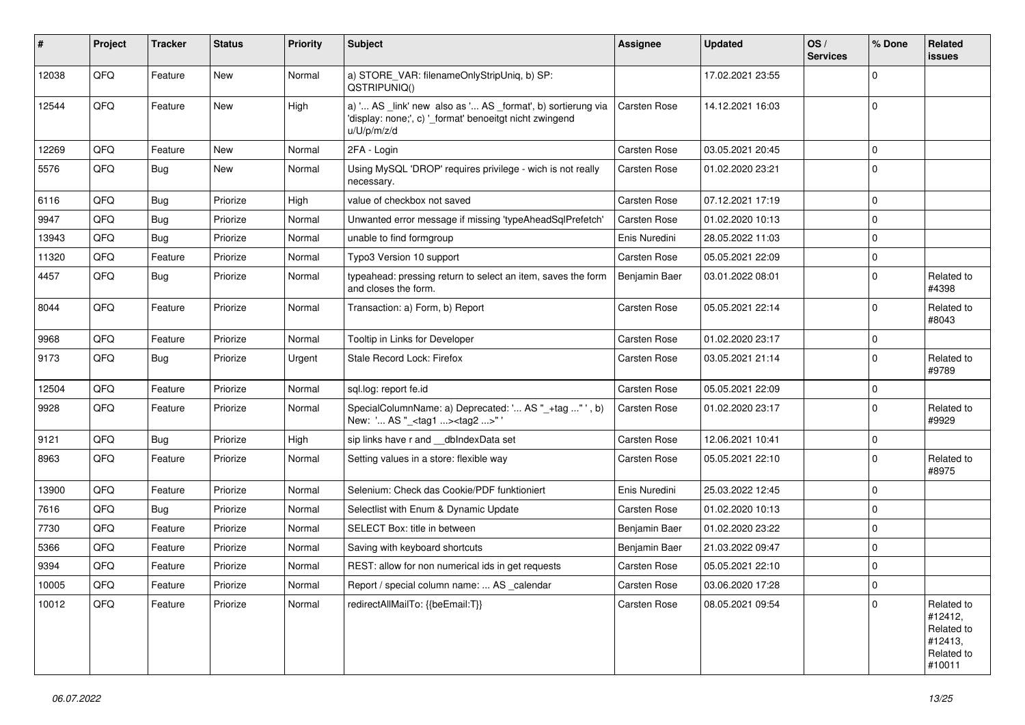| #     | Project | <b>Tracker</b> | <b>Status</b> | <b>Priority</b> | Subject                                                                                                                               | Assignee            | <b>Updated</b>   | OS/<br><b>Services</b> | % Done      | Related<br><b>issues</b>                                               |
|-------|---------|----------------|---------------|-----------------|---------------------------------------------------------------------------------------------------------------------------------------|---------------------|------------------|------------------------|-------------|------------------------------------------------------------------------|
| 12038 | QFQ     | Feature        | <b>New</b>    | Normal          | a) STORE_VAR: filenameOnlyStripUniq, b) SP:<br>QSTRIPUNIQ()                                                                           |                     | 17.02.2021 23:55 |                        | $\Omega$    |                                                                        |
| 12544 | QFQ     | Feature        | <b>New</b>    | High            | a) ' AS _link' new also as ' AS _format', b) sortierung via<br>'display: none;', c) '_format' benoeitgt nicht zwingend<br>u/U/p/m/z/d | <b>Carsten Rose</b> | 14.12.2021 16:03 |                        | $\mathbf 0$ |                                                                        |
| 12269 | QFQ     | Feature        | <b>New</b>    | Normal          | 2FA - Login                                                                                                                           | Carsten Rose        | 03.05.2021 20:45 |                        | $\mathbf 0$ |                                                                        |
| 5576  | QFQ     | <b>Bug</b>     | <b>New</b>    | Normal          | Using MySQL 'DROP' requires privilege - wich is not really<br>necessary.                                                              | Carsten Rose        | 01.02.2020 23:21 |                        | $\Omega$    |                                                                        |
| 6116  | QFQ     | Bug            | Priorize      | High            | value of checkbox not saved                                                                                                           | Carsten Rose        | 07.12.2021 17:19 |                        | $\mathbf 0$ |                                                                        |
| 9947  | QFQ     | <b>Bug</b>     | Priorize      | Normal          | Unwanted error message if missing 'typeAheadSqlPrefetch'                                                                              | Carsten Rose        | 01.02.2020 10:13 |                        | $\mathbf 0$ |                                                                        |
| 13943 | QFQ     | <b>Bug</b>     | Priorize      | Normal          | unable to find formgroup                                                                                                              | Enis Nuredini       | 28.05.2022 11:03 |                        | $\Omega$    |                                                                        |
| 11320 | QFQ     | Feature        | Priorize      | Normal          | Typo3 Version 10 support                                                                                                              | Carsten Rose        | 05.05.2021 22:09 |                        | $\mathbf 0$ |                                                                        |
| 4457  | QFQ     | Bug            | Priorize      | Normal          | typeahead: pressing return to select an item, saves the form<br>and closes the form.                                                  | Benjamin Baer       | 03.01.2022 08:01 |                        | $\Omega$    | Related to<br>#4398                                                    |
| 8044  | QFQ     | Feature        | Priorize      | Normal          | Transaction: a) Form, b) Report                                                                                                       | Carsten Rose        | 05.05.2021 22:14 |                        | $\mathbf 0$ | Related to<br>#8043                                                    |
| 9968  | QFQ     | Feature        | Priorize      | Normal          | Tooltip in Links for Developer                                                                                                        | Carsten Rose        | 01.02.2020 23:17 |                        | $\mathbf 0$ |                                                                        |
| 9173  | QFQ     | <b>Bug</b>     | Priorize      | Urgent          | Stale Record Lock: Firefox                                                                                                            | Carsten Rose        | 03.05.2021 21:14 |                        | $\Omega$    | Related to<br>#9789                                                    |
| 12504 | QFQ     | Feature        | Priorize      | Normal          | sql.log: report fe.id                                                                                                                 | Carsten Rose        | 05.05.2021 22:09 |                        | $\mathbf 0$ |                                                                        |
| 9928  | QFQ     | Feature        | Priorize      | Normal          | SpecialColumnName: a) Deprecated: ' AS "_+tag "', b)<br>New: ' AS "_ <tag1><tag2>"</tag2></tag1>                                      | Carsten Rose        | 01.02.2020 23:17 |                        | $\Omega$    | Related to<br>#9929                                                    |
| 9121  | QFQ     | Bug            | Priorize      | High            | sip links have r and __dbIndexData set                                                                                                | Carsten Rose        | 12.06.2021 10:41 |                        | 0           |                                                                        |
| 8963  | QFQ     | Feature        | Priorize      | Normal          | Setting values in a store: flexible way                                                                                               | Carsten Rose        | 05.05.2021 22:10 |                        | $\Omega$    | Related to<br>#8975                                                    |
| 13900 | QFQ     | Feature        | Priorize      | Normal          | Selenium: Check das Cookie/PDF funktioniert                                                                                           | Enis Nuredini       | 25.03.2022 12:45 |                        | 0           |                                                                        |
| 7616  | QFQ     | <b>Bug</b>     | Priorize      | Normal          | Selectlist with Enum & Dynamic Update                                                                                                 | Carsten Rose        | 01.02.2020 10:13 |                        | $\mathbf 0$ |                                                                        |
| 7730  | QFQ     | Feature        | Priorize      | Normal          | SELECT Box: title in between                                                                                                          | Benjamin Baer       | 01.02.2020 23:22 |                        | $\Omega$    |                                                                        |
| 5366  | QFQ     | Feature        | Priorize      | Normal          | Saving with keyboard shortcuts                                                                                                        | Benjamin Baer       | 21.03.2022 09:47 |                        | $\mathbf 0$ |                                                                        |
| 9394  | QFQ     | Feature        | Priorize      | Normal          | REST: allow for non numerical ids in get requests                                                                                     | Carsten Rose        | 05.05.2021 22:10 |                        | $\mathbf 0$ |                                                                        |
| 10005 | QFQ     | Feature        | Priorize      | Normal          | Report / special column name:  AS _calendar                                                                                           | Carsten Rose        | 03.06.2020 17:28 |                        | 0           |                                                                        |
| 10012 | QFQ     | Feature        | Priorize      | Normal          | redirectAllMailTo: {{beEmail:T}}                                                                                                      | Carsten Rose        | 08.05.2021 09:54 |                        | $\Omega$    | Related to<br>#12412,<br>Related to<br>#12413,<br>Related to<br>#10011 |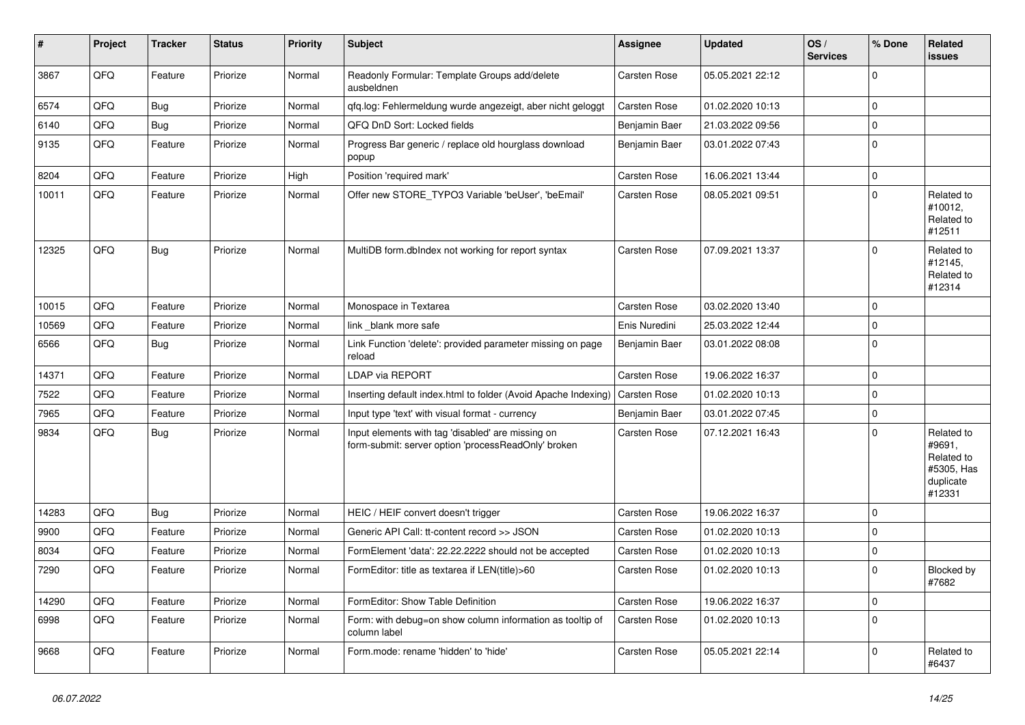| #     | <b>Project</b> | <b>Tracker</b> | <b>Status</b> | <b>Priority</b> | <b>Subject</b>                                                                                           | Assignee            | <b>Updated</b>   | OS/<br><b>Services</b> | % Done       | <b>Related</b><br>issues                                                |
|-------|----------------|----------------|---------------|-----------------|----------------------------------------------------------------------------------------------------------|---------------------|------------------|------------------------|--------------|-------------------------------------------------------------------------|
| 3867  | QFQ            | Feature        | Priorize      | Normal          | Readonly Formular: Template Groups add/delete<br>ausbeldnen                                              | Carsten Rose        | 05.05.2021 22:12 |                        | $\Omega$     |                                                                         |
| 6574  | QFQ            | <b>Bug</b>     | Priorize      | Normal          | gfg.log: Fehlermeldung wurde angezeigt, aber nicht geloggt                                               | Carsten Rose        | 01.02.2020 10:13 |                        | $\mathbf 0$  |                                                                         |
| 6140  | QFQ            | Bug            | Priorize      | Normal          | QFQ DnD Sort: Locked fields                                                                              | Benjamin Baer       | 21.03.2022 09:56 |                        | $\mathbf 0$  |                                                                         |
| 9135  | QFQ            | Feature        | Priorize      | Normal          | Progress Bar generic / replace old hourglass download<br>popup                                           | Benjamin Baer       | 03.01.2022 07:43 |                        | $\Omega$     |                                                                         |
| 8204  | QFQ            | Feature        | Priorize      | High            | Position 'required mark'                                                                                 | Carsten Rose        | 16.06.2021 13:44 |                        | $\mathbf{0}$ |                                                                         |
| 10011 | QFQ            | Feature        | Priorize      | Normal          | Offer new STORE_TYPO3 Variable 'beUser', 'beEmail'                                                       | Carsten Rose        | 08.05.2021 09:51 |                        | $\Omega$     | Related to<br>#10012,<br>Related to<br>#12511                           |
| 12325 | QFQ            | Bug            | Priorize      | Normal          | MultiDB form.dbIndex not working for report syntax                                                       | Carsten Rose        | 07.09.2021 13:37 |                        | $\Omega$     | Related to<br>#12145,<br>Related to<br>#12314                           |
| 10015 | QFQ            | Feature        | Priorize      | Normal          | Monospace in Textarea                                                                                    | Carsten Rose        | 03.02.2020 13:40 |                        | $\mathbf 0$  |                                                                         |
| 10569 | QFQ            | Feature        | Priorize      | Normal          | link blank more safe                                                                                     | Enis Nuredini       | 25.03.2022 12:44 |                        | $\mathbf 0$  |                                                                         |
| 6566  | QFQ            | Bug            | Priorize      | Normal          | Link Function 'delete': provided parameter missing on page<br>reload                                     | Benjamin Baer       | 03.01.2022 08:08 |                        | $\mathbf 0$  |                                                                         |
| 14371 | QFQ            | Feature        | Priorize      | Normal          | LDAP via REPORT                                                                                          | Carsten Rose        | 19.06.2022 16:37 |                        | $\Omega$     |                                                                         |
| 7522  | QFQ            | Feature        | Priorize      | Normal          | Inserting default index.html to folder (Avoid Apache Indexing)                                           | Carsten Rose        | 01.02.2020 10:13 |                        | $\Omega$     |                                                                         |
| 7965  | QFQ            | Feature        | Priorize      | Normal          | Input type 'text' with visual format - currency                                                          | Benjamin Baer       | 03.01.2022 07:45 |                        | $\Omega$     |                                                                         |
| 9834  | QFQ            | <b>Bug</b>     | Priorize      | Normal          | Input elements with tag 'disabled' are missing on<br>form-submit: server option 'processReadOnly' broken | Carsten Rose        | 07.12.2021 16:43 |                        | $\Omega$     | Related to<br>#9691,<br>Related to<br>#5305, Has<br>duplicate<br>#12331 |
| 14283 | QFQ            | <b>Bug</b>     | Priorize      | Normal          | HEIC / HEIF convert doesn't trigger                                                                      | <b>Carsten Rose</b> | 19.06.2022 16:37 |                        | $\Omega$     |                                                                         |
| 9900  | QFQ            | Feature        | Priorize      | Normal          | Generic API Call: tt-content record >> JSON                                                              | Carsten Rose        | 01.02.2020 10:13 |                        | $\mathbf 0$  |                                                                         |
| 8034  | QFQ            | Feature        | Priorize      | Normal          | FormElement 'data': 22.22.2222 should not be accepted                                                    | <b>Carsten Rose</b> | 01.02.2020 10:13 |                        | $\Omega$     |                                                                         |
| 7290  | QFQ            | Feature        | Priorize      | Normal          | FormEditor: title as textarea if LEN(title)>60                                                           | <b>Carsten Rose</b> | 01.02.2020 10:13 |                        | $\Omega$     | Blocked by<br>#7682                                                     |
| 14290 | QFQ            | Feature        | Priorize      | Normal          | FormEditor: Show Table Definition                                                                        | Carsten Rose        | 19.06.2022 16:37 |                        | $\mathbf 0$  |                                                                         |
| 6998  | QFQ            | Feature        | Priorize      | Normal          | Form: with debug=on show column information as tooltip of<br>column label                                | <b>Carsten Rose</b> | 01.02.2020 10:13 |                        | $\Omega$     |                                                                         |
| 9668  | QFQ            | Feature        | Priorize      | Normal          | Form.mode: rename 'hidden' to 'hide'                                                                     | Carsten Rose        | 05.05.2021 22:14 |                        | $\Omega$     | Related to<br>#6437                                                     |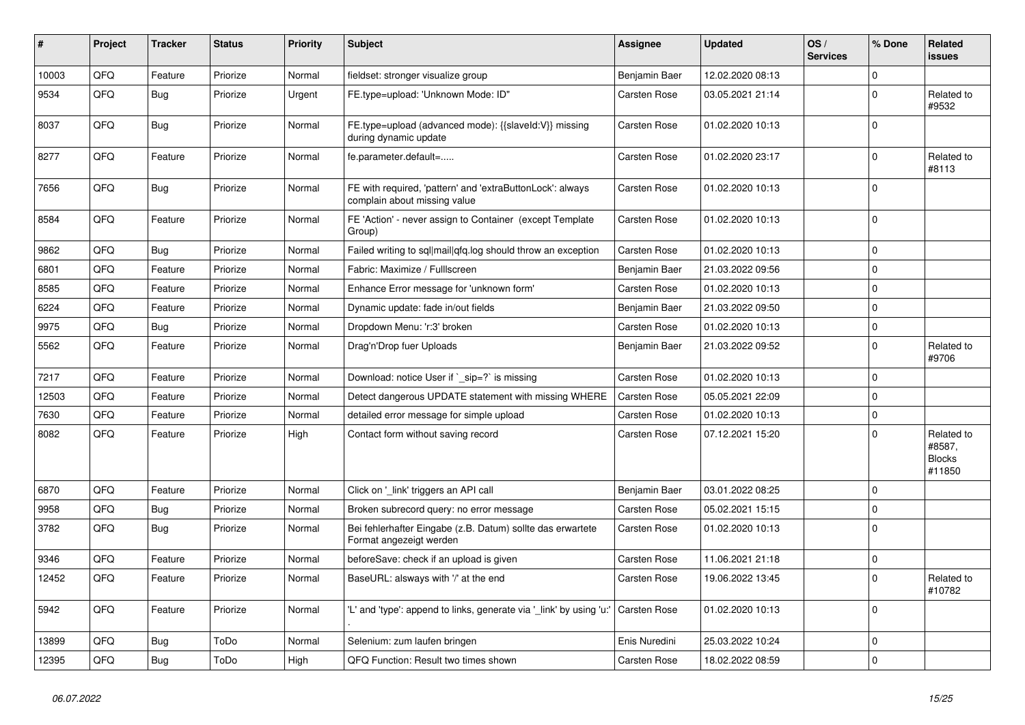| #     | Project | <b>Tracker</b> | <b>Status</b> | <b>Priority</b> | <b>Subject</b>                                                                            | Assignee            | <b>Updated</b>   | OS/<br><b>Services</b> | % Done      | Related<br><b>issues</b>                        |
|-------|---------|----------------|---------------|-----------------|-------------------------------------------------------------------------------------------|---------------------|------------------|------------------------|-------------|-------------------------------------------------|
| 10003 | QFQ     | Feature        | Priorize      | Normal          | fieldset: stronger visualize group                                                        | Benjamin Baer       | 12.02.2020 08:13 |                        | $\Omega$    |                                                 |
| 9534  | QFQ     | <b>Bug</b>     | Priorize      | Urgent          | FE.type=upload: 'Unknown Mode: ID"                                                        | Carsten Rose        | 03.05.2021 21:14 |                        | $\Omega$    | Related to<br>#9532                             |
| 8037  | QFQ     | Bug            | Priorize      | Normal          | FE.type=upload (advanced mode): {{slaveId:V}} missing<br>during dynamic update            | <b>Carsten Rose</b> | 01.02.2020 10:13 |                        | $\Omega$    |                                                 |
| 8277  | QFQ     | Feature        | Priorize      | Normal          | fe.parameter.default=                                                                     | Carsten Rose        | 01.02.2020 23:17 |                        | $\Omega$    | Related to<br>#8113                             |
| 7656  | QFQ     | <b>Bug</b>     | Priorize      | Normal          | FE with required, 'pattern' and 'extraButtonLock': always<br>complain about missing value | Carsten Rose        | 01.02.2020 10:13 |                        | $\Omega$    |                                                 |
| 8584  | QFQ     | Feature        | Priorize      | Normal          | FE 'Action' - never assign to Container (except Template<br>Group)                        | Carsten Rose        | 01.02.2020 10:13 |                        | $\Omega$    |                                                 |
| 9862  | QFQ     | <b>Bug</b>     | Priorize      | Normal          | Failed writing to sql mail qfq.log should throw an exception                              | Carsten Rose        | 01.02.2020 10:13 |                        | 0           |                                                 |
| 6801  | QFQ     | Feature        | Priorize      | Normal          | Fabric: Maximize / Fulllscreen                                                            | Benjamin Baer       | 21.03.2022 09:56 |                        | $\Omega$    |                                                 |
| 8585  | QFQ     | Feature        | Priorize      | Normal          | Enhance Error message for 'unknown form'                                                  | <b>Carsten Rose</b> | 01.02.2020 10:13 |                        | $\mathbf 0$ |                                                 |
| 6224  | QFQ     | Feature        | Priorize      | Normal          | Dynamic update: fade in/out fields                                                        | Benjamin Baer       | 21.03.2022 09:50 |                        | $\Omega$    |                                                 |
| 9975  | QFQ     | <b>Bug</b>     | Priorize      | Normal          | Dropdown Menu: 'r:3' broken                                                               | <b>Carsten Rose</b> | 01.02.2020 10:13 |                        | $\mathbf 0$ |                                                 |
| 5562  | QFQ     | Feature        | Priorize      | Normal          | Drag'n'Drop fuer Uploads                                                                  | Benjamin Baer       | 21.03.2022 09:52 |                        | $\Omega$    | Related to<br>#9706                             |
| 7217  | QFQ     | Feature        | Priorize      | Normal          | Download: notice User if `_sip=?` is missing                                              | <b>Carsten Rose</b> | 01.02.2020 10:13 |                        | $\Omega$    |                                                 |
| 12503 | QFQ     | Feature        | Priorize      | Normal          | Detect dangerous UPDATE statement with missing WHERE                                      | <b>Carsten Rose</b> | 05.05.2021 22:09 |                        | $\Omega$    |                                                 |
| 7630  | QFQ     | Feature        | Priorize      | Normal          | detailed error message for simple upload                                                  | <b>Carsten Rose</b> | 01.02.2020 10:13 |                        | $\Omega$    |                                                 |
| 8082  | QFQ     | Feature        | Priorize      | High            | Contact form without saving record                                                        | Carsten Rose        | 07.12.2021 15:20 |                        | $\Omega$    | Related to<br>#8587,<br><b>Blocks</b><br>#11850 |
| 6870  | QFQ     | Feature        | Priorize      | Normal          | Click on 'link' triggers an API call                                                      | Benjamin Baer       | 03.01.2022 08:25 |                        | $\Omega$    |                                                 |
| 9958  | QFQ     | <b>Bug</b>     | Priorize      | Normal          | Broken subrecord query: no error message                                                  | <b>Carsten Rose</b> | 05.02.2021 15:15 |                        | $\Omega$    |                                                 |
| 3782  | QFQ     | Bug            | Priorize      | Normal          | Bei fehlerhafter Eingabe (z.B. Datum) sollte das erwartete<br>Format angezeigt werden     | Carsten Rose        | 01.02.2020 10:13 |                        | $\Omega$    |                                                 |
| 9346  | QFQ     | Feature        | Priorize      | Normal          | beforeSave: check if an upload is given                                                   | <b>Carsten Rose</b> | 11.06.2021 21:18 |                        | $\Omega$    |                                                 |
| 12452 | QFQ     | Feature        | Priorize      | Normal          | BaseURL: alsways with '/' at the end                                                      | Carsten Rose        | 19.06.2022 13:45 |                        | $\Omega$    | Related to<br>#10782                            |
| 5942  | QFQ     | Feature        | Priorize      | Normal          | 'L' and 'type': append to links, generate via 'link' by using 'u:'                        | <b>Carsten Rose</b> | 01.02.2020 10:13 |                        | $\Omega$    |                                                 |
| 13899 | QFQ     | <b>Bug</b>     | ToDo          | Normal          | Selenium: zum laufen bringen                                                              | Enis Nuredini       | 25.03.2022 10:24 |                        | $\Omega$    |                                                 |
| 12395 | QFQ     | <b>Bug</b>     | ToDo          | High            | QFQ Function: Result two times shown                                                      | <b>Carsten Rose</b> | 18.02.2022 08:59 |                        | $\Omega$    |                                                 |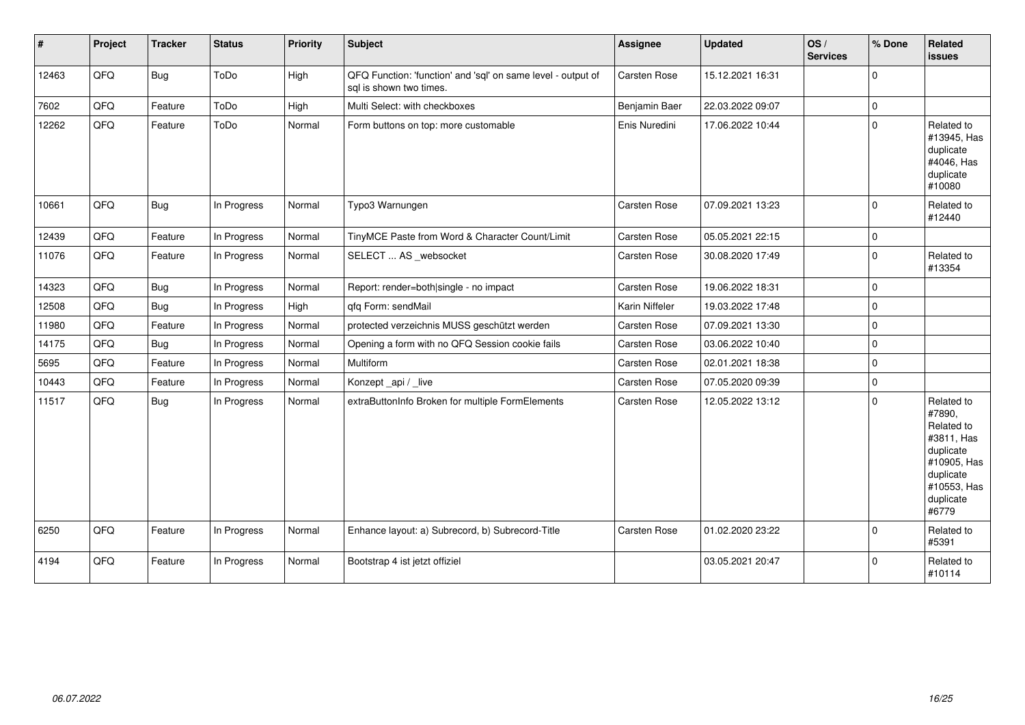| #     | Project | <b>Tracker</b> | <b>Status</b> | <b>Priority</b> | <b>Subject</b>                                                                          | <b>Assignee</b>     | <b>Updated</b>   | OS/<br><b>Services</b> | % Done              | Related<br>issues                                                                                                              |
|-------|---------|----------------|---------------|-----------------|-----------------------------------------------------------------------------------------|---------------------|------------------|------------------------|---------------------|--------------------------------------------------------------------------------------------------------------------------------|
| 12463 | QFQ     | Bug            | ToDo          | High            | QFQ Function: 'function' and 'sql' on same level - output of<br>sal is shown two times. | Carsten Rose        | 15.12.2021 16:31 |                        | $\mathbf 0$         |                                                                                                                                |
| 7602  | QFQ     | Feature        | ToDo          | High            | Multi Select: with checkboxes                                                           | Benjamin Baer       | 22.03.2022 09:07 |                        | $\mathsf{O}\xspace$ |                                                                                                                                |
| 12262 | QFQ     | Feature        | ToDo          | Normal          | Form buttons on top: more customable                                                    | Enis Nuredini       | 17.06.2022 10:44 |                        | $\mathbf 0$         | Related to<br>#13945, Has<br>duplicate<br>#4046, Has<br>duplicate<br>#10080                                                    |
| 10661 | QFQ     | <b>Bug</b>     | In Progress   | Normal          | Typo3 Warnungen                                                                         | Carsten Rose        | 07.09.2021 13:23 |                        | $\mathbf 0$         | Related to<br>#12440                                                                                                           |
| 12439 | QFQ     | Feature        | In Progress   | Normal          | TinyMCE Paste from Word & Character Count/Limit                                         | <b>Carsten Rose</b> | 05.05.2021 22:15 |                        | $\mathbf 0$         |                                                                                                                                |
| 11076 | QFQ     | Feature        | In Progress   | Normal          | SELECT  AS _websocket                                                                   | <b>Carsten Rose</b> | 30.08.2020 17:49 |                        | $\mathbf 0$         | Related to<br>#13354                                                                                                           |
| 14323 | QFQ     | Bug            | In Progress   | Normal          | Report: render=both single - no impact                                                  | Carsten Rose        | 19.06.2022 18:31 |                        | $\mathbf 0$         |                                                                                                                                |
| 12508 | QFQ     | <b>Bug</b>     | In Progress   | High            | qfq Form: sendMail                                                                      | Karin Niffeler      | 19.03.2022 17:48 |                        | $\mathbf 0$         |                                                                                                                                |
| 11980 | QFQ     | Feature        | In Progress   | Normal          | protected verzeichnis MUSS geschützt werden                                             | <b>Carsten Rose</b> | 07.09.2021 13:30 |                        | $\mathbf 0$         |                                                                                                                                |
| 14175 | QFQ     | <b>Bug</b>     | In Progress   | Normal          | Opening a form with no QFQ Session cookie fails                                         | Carsten Rose        | 03.06.2022 10:40 |                        | $\pmb{0}$           |                                                                                                                                |
| 5695  | QFQ     | Feature        | In Progress   | Normal          | Multiform                                                                               | Carsten Rose        | 02.01.2021 18:38 |                        | $\mathbf 0$         |                                                                                                                                |
| 10443 | QFQ     | Feature        | In Progress   | Normal          | Konzept_api / _live                                                                     | Carsten Rose        | 07.05.2020 09:39 |                        | $\mathbf 0$         |                                                                                                                                |
| 11517 | QFQ     | <b>Bug</b>     | In Progress   | Normal          | extraButtonInfo Broken for multiple FormElements                                        | Carsten Rose        | 12.05.2022 13:12 |                        | $\Omega$            | Related to<br>#7890,<br>Related to<br>#3811, Has<br>duplicate<br>#10905, Has<br>duplicate<br>#10553, Has<br>duplicate<br>#6779 |
| 6250  | QFQ     | Feature        | In Progress   | Normal          | Enhance layout: a) Subrecord, b) Subrecord-Title                                        | <b>Carsten Rose</b> | 01.02.2020 23:22 |                        | $\mathbf 0$         | Related to<br>#5391                                                                                                            |
| 4194  | QFQ     | Feature        | In Progress   | Normal          | Bootstrap 4 ist jetzt offiziel                                                          |                     | 03.05.2021 20:47 |                        | $\mathbf 0$         | Related to<br>#10114                                                                                                           |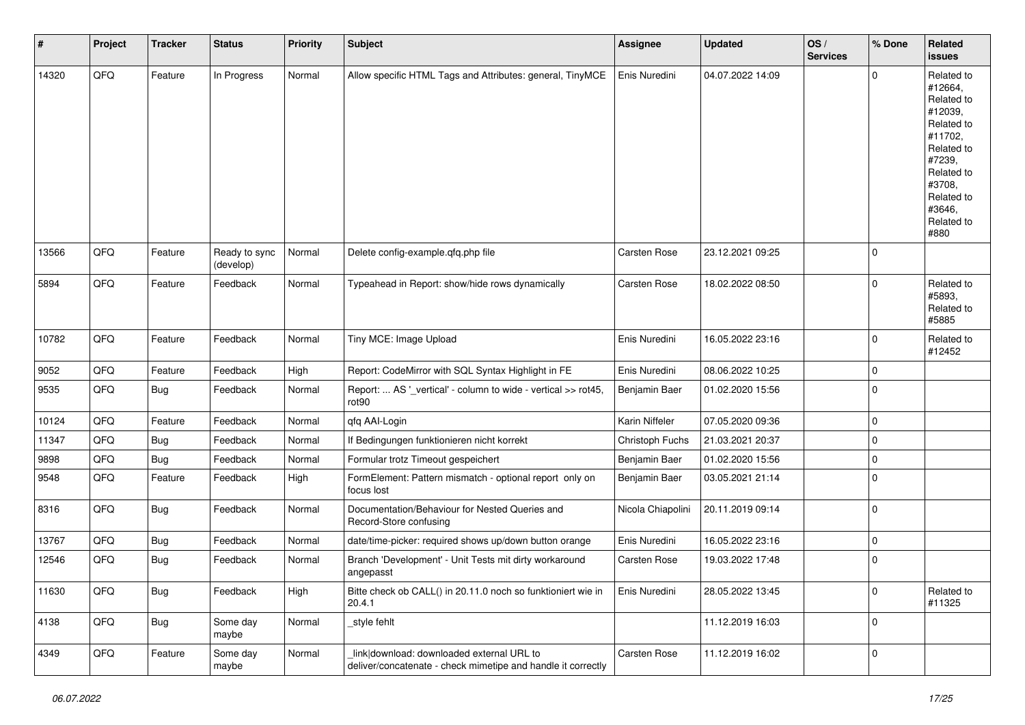| #     | Project | <b>Tracker</b> | <b>Status</b>              | <b>Priority</b> | Subject                                                                                                   | <b>Assignee</b>   | <b>Updated</b>   | OS/<br><b>Services</b> | % Done      | Related<br><b>issues</b>                                                                                                                                              |
|-------|---------|----------------|----------------------------|-----------------|-----------------------------------------------------------------------------------------------------------|-------------------|------------------|------------------------|-------------|-----------------------------------------------------------------------------------------------------------------------------------------------------------------------|
| 14320 | QFQ     | Feature        | In Progress                | Normal          | Allow specific HTML Tags and Attributes: general, TinyMCE                                                 | Enis Nuredini     | 04.07.2022 14:09 |                        | $\mathbf 0$ | Related to<br>#12664,<br>Related to<br>#12039,<br>Related to<br>#11702,<br>Related to<br>#7239,<br>Related to<br>#3708,<br>Related to<br>#3646,<br>Related to<br>#880 |
| 13566 | QFQ     | Feature        | Ready to sync<br>(develop) | Normal          | Delete config-example.qfq.php file                                                                        | Carsten Rose      | 23.12.2021 09:25 |                        | $\mathbf 0$ |                                                                                                                                                                       |
| 5894  | QFQ     | Feature        | Feedback                   | Normal          | Typeahead in Report: show/hide rows dynamically                                                           | Carsten Rose      | 18.02.2022 08:50 |                        | $\mathbf 0$ | Related to<br>#5893,<br>Related to<br>#5885                                                                                                                           |
| 10782 | QFQ     | Feature        | Feedback                   | Normal          | Tiny MCE: Image Upload                                                                                    | Enis Nuredini     | 16.05.2022 23:16 |                        | $\mathbf 0$ | Related to<br>#12452                                                                                                                                                  |
| 9052  | QFQ     | Feature        | Feedback                   | High            | Report: CodeMirror with SQL Syntax Highlight in FE                                                        | Enis Nuredini     | 08.06.2022 10:25 |                        | $\mathbf 0$ |                                                                                                                                                                       |
| 9535  | QFQ     | Bug            | Feedback                   | Normal          | Report:  AS '_vertical' - column to wide - vertical >> rot45,<br>rot90                                    | Benjamin Baer     | 01.02.2020 15:56 |                        | $\mathbf 0$ |                                                                                                                                                                       |
| 10124 | QFQ     | Feature        | Feedback                   | Normal          | qfq AAI-Login                                                                                             | Karin Niffeler    | 07.05.2020 09:36 |                        | $\pmb{0}$   |                                                                                                                                                                       |
| 11347 | QFQ     | Bug            | Feedback                   | Normal          | If Bedingungen funktionieren nicht korrekt                                                                | Christoph Fuchs   | 21.03.2021 20:37 |                        | $\mathbf 0$ |                                                                                                                                                                       |
| 9898  | QFQ     | <b>Bug</b>     | Feedback                   | Normal          | Formular trotz Timeout gespeichert                                                                        | Benjamin Baer     | 01.02.2020 15:56 |                        | $\mathbf 0$ |                                                                                                                                                                       |
| 9548  | QFQ     | Feature        | Feedback                   | High            | FormElement: Pattern mismatch - optional report only on<br>focus lost                                     | Benjamin Baer     | 03.05.2021 21:14 |                        | $\mathbf 0$ |                                                                                                                                                                       |
| 8316  | QFQ     | Bug            | Feedback                   | Normal          | Documentation/Behaviour for Nested Queries and<br>Record-Store confusing                                  | Nicola Chiapolini | 20.11.2019 09:14 |                        | $\pmb{0}$   |                                                                                                                                                                       |
| 13767 | QFQ     | <b>Bug</b>     | Feedback                   | Normal          | date/time-picker: required shows up/down button orange                                                    | Enis Nuredini     | 16.05.2022 23:16 |                        | $\mathbf 0$ |                                                                                                                                                                       |
| 12546 | QFQ     | Bug            | Feedback                   | Normal          | Branch 'Development' - Unit Tests mit dirty workaround<br>angepasst                                       | Carsten Rose      | 19.03.2022 17:48 |                        | $\mathbf 0$ |                                                                                                                                                                       |
| 11630 | QFQ     | <b>Bug</b>     | Feedback                   | High            | Bitte check ob CALL() in 20.11.0 noch so funktioniert wie in<br>20.4.1                                    | Enis Nuredini     | 28.05.2022 13:45 |                        | $\pmb{0}$   | Related to<br>#11325                                                                                                                                                  |
| 4138  | QFQ     | <b>Bug</b>     | Some day<br>maybe          | Normal          | _style fehlt                                                                                              |                   | 11.12.2019 16:03 |                        | $\mathbf 0$ |                                                                                                                                                                       |
| 4349  | QFQ     | Feature        | Some day<br>maybe          | Normal          | link download: downloaded external URL to<br>deliver/concatenate - check mimetipe and handle it correctly | Carsten Rose      | 11.12.2019 16:02 |                        | $\pmb{0}$   |                                                                                                                                                                       |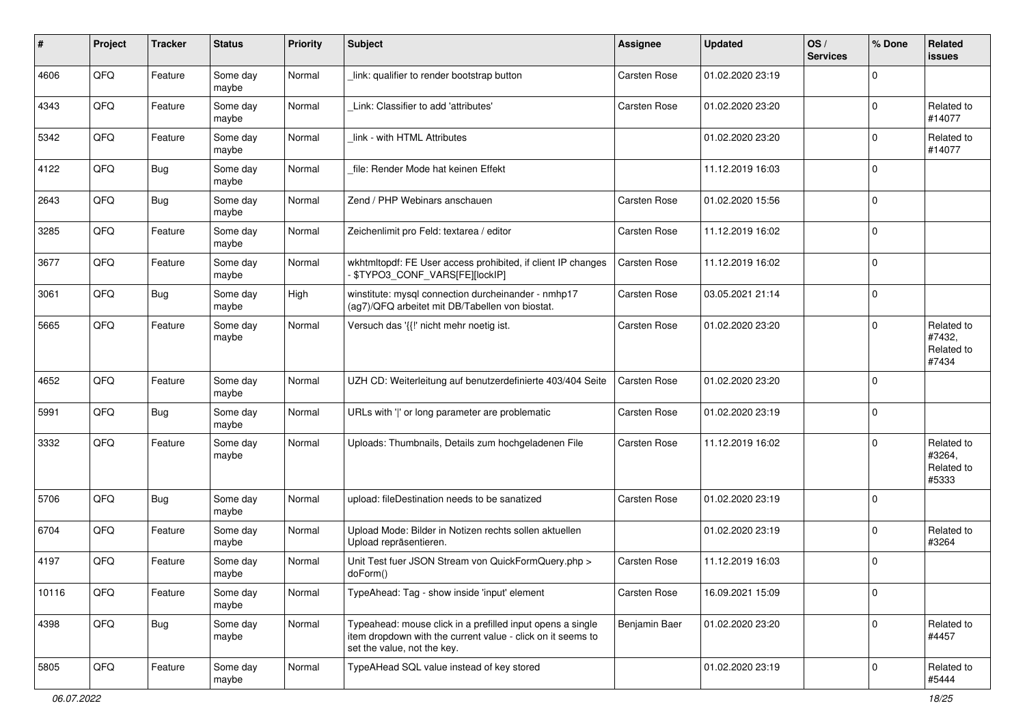| #     | Project | <b>Tracker</b> | <b>Status</b>     | <b>Priority</b> | <b>Subject</b>                                                                                                                                           | Assignee            | <b>Updated</b>   | OS/<br><b>Services</b> | % Done      | Related<br><b>issues</b>                    |
|-------|---------|----------------|-------------------|-----------------|----------------------------------------------------------------------------------------------------------------------------------------------------------|---------------------|------------------|------------------------|-------------|---------------------------------------------|
| 4606  | QFQ     | Feature        | Some day<br>maybe | Normal          | link: qualifier to render bootstrap button                                                                                                               | <b>Carsten Rose</b> | 01.02.2020 23:19 |                        | $\Omega$    |                                             |
| 4343  | QFQ     | Feature        | Some day<br>maybe | Normal          | Link: Classifier to add 'attributes'                                                                                                                     | <b>Carsten Rose</b> | 01.02.2020 23:20 |                        | $\mathbf 0$ | Related to<br>#14077                        |
| 5342  | QFQ     | Feature        | Some day<br>maybe | Normal          | link - with HTML Attributes                                                                                                                              |                     | 01.02.2020 23:20 |                        | $\Omega$    | Related to<br>#14077                        |
| 4122  | QFQ     | <b>Bug</b>     | Some day<br>maybe | Normal          | file: Render Mode hat keinen Effekt                                                                                                                      |                     | 11.12.2019 16:03 |                        | $\mathbf 0$ |                                             |
| 2643  | QFQ     | <b>Bug</b>     | Some day<br>maybe | Normal          | Zend / PHP Webinars anschauen                                                                                                                            | <b>Carsten Rose</b> | 01.02.2020 15:56 |                        | $\mathbf 0$ |                                             |
| 3285  | QFQ     | Feature        | Some day<br>maybe | Normal          | Zeichenlimit pro Feld: textarea / editor                                                                                                                 | <b>Carsten Rose</b> | 11.12.2019 16:02 |                        | $\mathbf 0$ |                                             |
| 3677  | QFQ     | Feature        | Some day<br>maybe | Normal          | wkhtmltopdf: FE User access prohibited, if client IP changes<br>\$TYPO3_CONF_VARS[FE][lockIP]                                                            | <b>Carsten Rose</b> | 11.12.2019 16:02 |                        | $\mathbf 0$ |                                             |
| 3061  | QFQ     | <b>Bug</b>     | Some day<br>maybe | High            | winstitute: mysql connection durcheinander - nmhp17<br>(ag7)/QFQ arbeitet mit DB/Tabellen von biostat.                                                   | <b>Carsten Rose</b> | 03.05.2021 21:14 |                        | $\mathbf 0$ |                                             |
| 5665  | QFQ     | Feature        | Some day<br>maybe | Normal          | Versuch das '{{!' nicht mehr noetig ist.                                                                                                                 | <b>Carsten Rose</b> | 01.02.2020 23:20 |                        | $\mathbf 0$ | Related to<br>#7432,<br>Related to<br>#7434 |
| 4652  | QFQ     | Feature        | Some day<br>maybe | Normal          | UZH CD: Weiterleitung auf benutzerdefinierte 403/404 Seite                                                                                               | Carsten Rose        | 01.02.2020 23:20 |                        | $\mathbf 0$ |                                             |
| 5991  | QFQ     | Bug            | Some day<br>maybe | Normal          | URLs with ' ' or long parameter are problematic                                                                                                          | <b>Carsten Rose</b> | 01.02.2020 23:19 |                        | $\mathbf 0$ |                                             |
| 3332  | QFQ     | Feature        | Some day<br>maybe | Normal          | Uploads: Thumbnails, Details zum hochgeladenen File                                                                                                      | <b>Carsten Rose</b> | 11.12.2019 16:02 |                        | $\Omega$    | Related to<br>#3264,<br>Related to<br>#5333 |
| 5706  | QFQ     | <b>Bug</b>     | Some day<br>maybe | Normal          | upload: fileDestination needs to be sanatized                                                                                                            | <b>Carsten Rose</b> | 01.02.2020 23:19 |                        | $\mathbf 0$ |                                             |
| 6704  | QFQ     | Feature        | Some day<br>maybe | Normal          | Upload Mode: Bilder in Notizen rechts sollen aktuellen<br>Upload repräsentieren.                                                                         |                     | 01.02.2020 23:19 |                        | $\mathbf 0$ | Related to<br>#3264                         |
| 4197  | QFQ     | Feature        | Some day<br>maybe | Normal          | Unit Test fuer JSON Stream von QuickFormQuery.php ><br>doForm()                                                                                          | Carsten Rose        | 11.12.2019 16:03 |                        | $\mathbf 0$ |                                             |
| 10116 | QFQ     | Feature        | Some day<br>maybe | Normal          | TypeAhead: Tag - show inside 'input' element                                                                                                             | Carsten Rose        | 16.09.2021 15:09 |                        | $\pmb{0}$   |                                             |
| 4398  | QFQ     | <b>Bug</b>     | Some day<br>maybe | Normal          | Typeahead: mouse click in a prefilled input opens a single<br>item dropdown with the current value - click on it seems to<br>set the value, not the key. | Benjamin Baer       | 01.02.2020 23:20 |                        | $\mathbf 0$ | Related to<br>#4457                         |
| 5805  | QFQ     | Feature        | Some day<br>maybe | Normal          | TypeAHead SQL value instead of key stored                                                                                                                |                     | 01.02.2020 23:19 |                        | $\mathbf 0$ | Related to<br>#5444                         |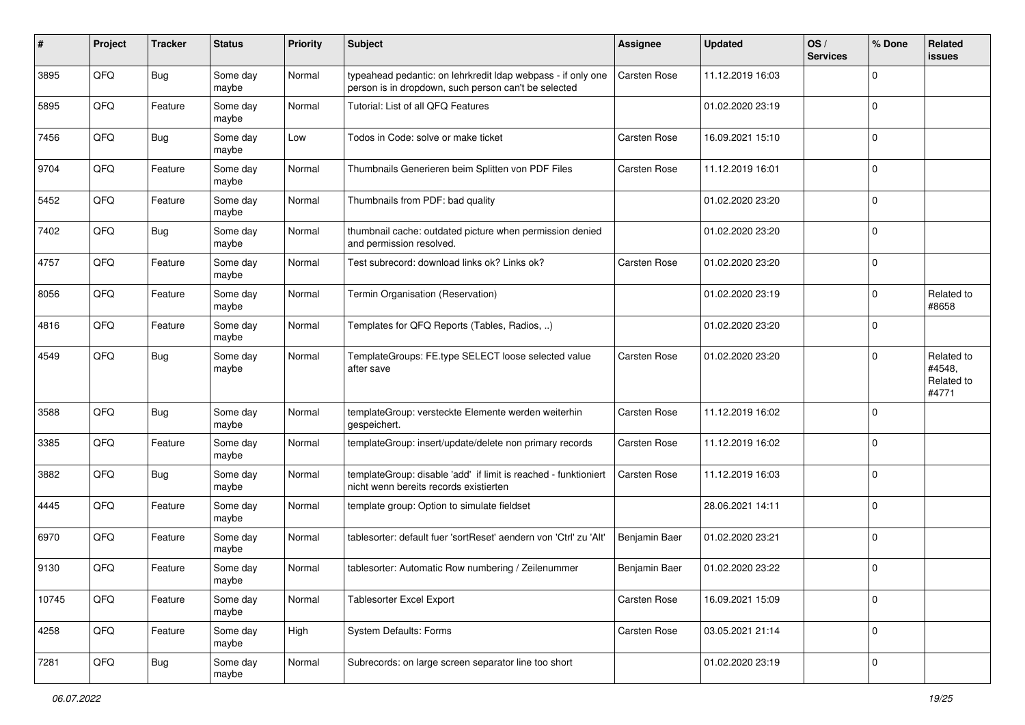| ∦     | Project | <b>Tracker</b> | <b>Status</b>     | <b>Priority</b> | <b>Subject</b>                                                                                                       | Assignee            | <b>Updated</b>   | OS/<br><b>Services</b> | % Done         | Related<br><b>issues</b>                    |
|-------|---------|----------------|-------------------|-----------------|----------------------------------------------------------------------------------------------------------------------|---------------------|------------------|------------------------|----------------|---------------------------------------------|
| 3895  | QFQ     | <b>Bug</b>     | Some day<br>maybe | Normal          | typeahead pedantic: on lehrkredit Idap webpass - if only one<br>person is in dropdown, such person can't be selected | <b>Carsten Rose</b> | 11.12.2019 16:03 |                        | $\mathbf 0$    |                                             |
| 5895  | QFQ     | Feature        | Some day<br>maybe | Normal          | Tutorial: List of all QFQ Features                                                                                   |                     | 01.02.2020 23:19 |                        | $\overline{0}$ |                                             |
| 7456  | QFQ     | <b>Bug</b>     | Some day<br>maybe | Low             | Todos in Code: solve or make ticket                                                                                  | <b>Carsten Rose</b> | 16.09.2021 15:10 |                        | $\mathbf 0$    |                                             |
| 9704  | QFQ     | Feature        | Some day<br>maybe | Normal          | Thumbnails Generieren beim Splitten von PDF Files                                                                    | Carsten Rose        | 11.12.2019 16:01 |                        | $\mathbf 0$    |                                             |
| 5452  | QFQ     | Feature        | Some day<br>maybe | Normal          | Thumbnails from PDF: bad quality                                                                                     |                     | 01.02.2020 23:20 |                        | $\mathbf 0$    |                                             |
| 7402  | QFQ     | <b>Bug</b>     | Some day<br>maybe | Normal          | thumbnail cache: outdated picture when permission denied<br>and permission resolved.                                 |                     | 01.02.2020 23:20 |                        | $\overline{0}$ |                                             |
| 4757  | QFQ     | Feature        | Some day<br>maybe | Normal          | Test subrecord: download links ok? Links ok?                                                                         | Carsten Rose        | 01.02.2020 23:20 |                        | $\overline{0}$ |                                             |
| 8056  | QFQ     | Feature        | Some day<br>maybe | Normal          | Termin Organisation (Reservation)                                                                                    |                     | 01.02.2020 23:19 |                        | 0              | Related to<br>#8658                         |
| 4816  | QFQ     | Feature        | Some day<br>maybe | Normal          | Templates for QFQ Reports (Tables, Radios, )                                                                         |                     | 01.02.2020 23:20 |                        | 0              |                                             |
| 4549  | QFQ     | <b>Bug</b>     | Some day<br>maybe | Normal          | TemplateGroups: FE.type SELECT loose selected value<br>after save                                                    | <b>Carsten Rose</b> | 01.02.2020 23:20 |                        | $\mathbf 0$    | Related to<br>#4548,<br>Related to<br>#4771 |
| 3588  | QFQ     | <b>Bug</b>     | Some day<br>maybe | Normal          | templateGroup: versteckte Elemente werden weiterhin<br>gespeichert.                                                  | Carsten Rose        | 11.12.2019 16:02 |                        | 0              |                                             |
| 3385  | QFQ     | Feature        | Some day<br>maybe | Normal          | templateGroup: insert/update/delete non primary records                                                              | Carsten Rose        | 11.12.2019 16:02 |                        | $\overline{0}$ |                                             |
| 3882  | QFQ     | Bug            | Some day<br>maybe | Normal          | templateGroup: disable 'add' if limit is reached - funktioniert<br>nicht wenn bereits records existierten            | Carsten Rose        | 11.12.2019 16:03 |                        | 0              |                                             |
| 4445  | QFQ     | Feature        | Some day<br>maybe | Normal          | template group: Option to simulate fieldset                                                                          |                     | 28.06.2021 14:11 |                        | $\mathbf 0$    |                                             |
| 6970  | QFQ     | Feature        | Some day<br>maybe | Normal          | tablesorter: default fuer 'sortReset' aendern von 'Ctrl' zu 'Alt'                                                    | Benjamin Baer       | 01.02.2020 23:21 |                        | 0              |                                             |
| 9130  | QFQ     | Feature        | Some day<br>maybe | Normal          | tablesorter: Automatic Row numbering / Zeilenummer                                                                   | Benjamin Baer       | 01.02.2020 23:22 |                        | $\mathbf 0$    |                                             |
| 10745 | QFG     | Feature        | Some day<br>maybe | Normal          | Tablesorter Excel Export                                                                                             | Carsten Rose        | 16.09.2021 15:09 |                        | $\overline{0}$ |                                             |
| 4258  | QFG     | Feature        | Some day<br>maybe | High            | System Defaults: Forms                                                                                               | Carsten Rose        | 03.05.2021 21:14 |                        | $\overline{0}$ |                                             |
| 7281  | QFQ     | <b>Bug</b>     | Some day<br>maybe | Normal          | Subrecords: on large screen separator line too short                                                                 |                     | 01.02.2020 23:19 |                        | $\overline{0}$ |                                             |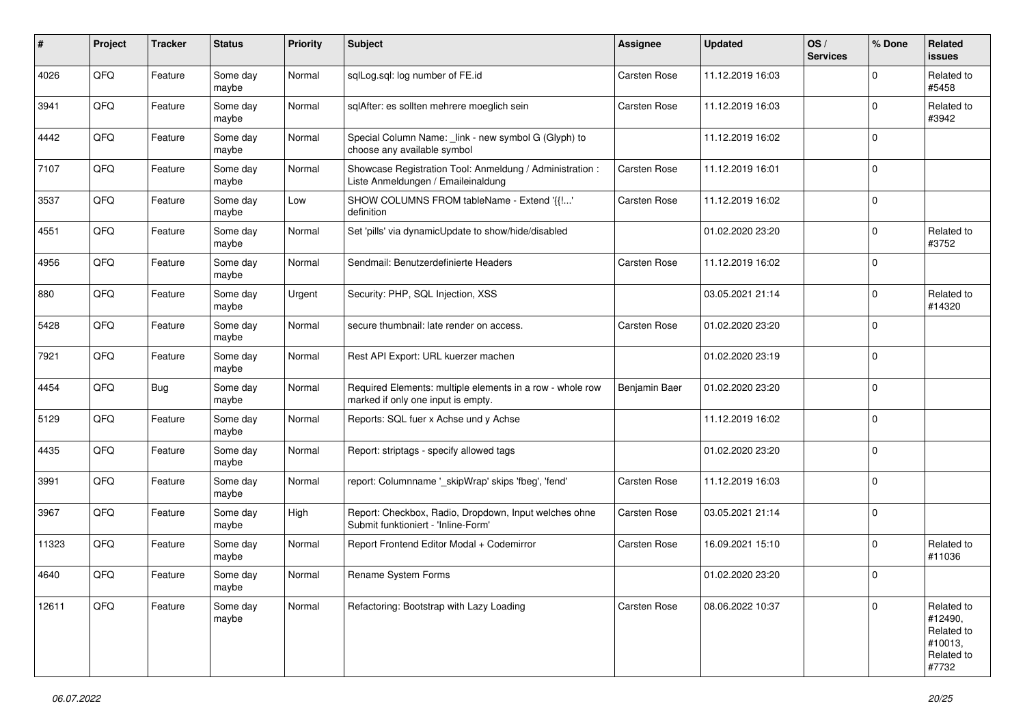| #     | Project | <b>Tracker</b> | <b>Status</b>     | <b>Priority</b> | <b>Subject</b>                                                                                  | Assignee            | <b>Updated</b>   | OS/<br><b>Services</b> | % Done      | Related<br><b>issues</b>                                              |
|-------|---------|----------------|-------------------|-----------------|-------------------------------------------------------------------------------------------------|---------------------|------------------|------------------------|-------------|-----------------------------------------------------------------------|
| 4026  | QFQ     | Feature        | Some day<br>maybe | Normal          | sqlLog.sql: log number of FE.id                                                                 | Carsten Rose        | 11.12.2019 16:03 |                        | $\Omega$    | Related to<br>#5458                                                   |
| 3941  | QFQ     | Feature        | Some day<br>maybe | Normal          | sqlAfter: es sollten mehrere moeglich sein                                                      | <b>Carsten Rose</b> | 11.12.2019 16:03 |                        | $\mathbf 0$ | Related to<br>#3942                                                   |
| 4442  | QFQ     | Feature        | Some day<br>maybe | Normal          | Special Column Name: _link - new symbol G (Glyph) to<br>choose any available symbol             |                     | 11.12.2019 16:02 |                        | $\Omega$    |                                                                       |
| 7107  | QFQ     | Feature        | Some day<br>maybe | Normal          | Showcase Registration Tool: Anmeldung / Administration :<br>Liste Anmeldungen / Emaileinaldung  | <b>Carsten Rose</b> | 11.12.2019 16:01 |                        | $\mathbf 0$ |                                                                       |
| 3537  | QFQ     | Feature        | Some day<br>maybe | Low             | SHOW COLUMNS FROM tableName - Extend '{{!'<br>definition                                        | <b>Carsten Rose</b> | 11.12.2019 16:02 |                        | $\mathbf 0$ |                                                                       |
| 4551  | QFQ     | Feature        | Some day<br>maybe | Normal          | Set 'pills' via dynamicUpdate to show/hide/disabled                                             |                     | 01.02.2020 23:20 |                        | $\mathbf 0$ | Related to<br>#3752                                                   |
| 4956  | QFQ     | Feature        | Some day<br>maybe | Normal          | Sendmail: Benutzerdefinierte Headers                                                            | Carsten Rose        | 11.12.2019 16:02 |                        | $\mathbf 0$ |                                                                       |
| 880   | QFQ     | Feature        | Some day<br>maybe | Urgent          | Security: PHP, SQL Injection, XSS                                                               |                     | 03.05.2021 21:14 |                        | $\mathbf 0$ | Related to<br>#14320                                                  |
| 5428  | QFQ     | Feature        | Some day<br>maybe | Normal          | secure thumbnail: late render on access.                                                        | <b>Carsten Rose</b> | 01.02.2020 23:20 |                        | $\mathbf 0$ |                                                                       |
| 7921  | QFQ     | Feature        | Some day<br>maybe | Normal          | Rest API Export: URL kuerzer machen                                                             |                     | 01.02.2020 23:19 |                        | $\mathbf 0$ |                                                                       |
| 4454  | QFQ     | <b>Bug</b>     | Some day<br>maybe | Normal          | Required Elements: multiple elements in a row - whole row<br>marked if only one input is empty. | Benjamin Baer       | 01.02.2020 23:20 |                        | $\mathbf 0$ |                                                                       |
| 5129  | QFQ     | Feature        | Some day<br>maybe | Normal          | Reports: SQL fuer x Achse und y Achse                                                           |                     | 11.12.2019 16:02 |                        | $\mathbf 0$ |                                                                       |
| 4435  | QFQ     | Feature        | Some day<br>maybe | Normal          | Report: striptags - specify allowed tags                                                        |                     | 01.02.2020 23:20 |                        | $\mathbf 0$ |                                                                       |
| 3991  | QFQ     | Feature        | Some day<br>maybe | Normal          | report: Columnname '_skipWrap' skips 'fbeg', 'fend'                                             | Carsten Rose        | 11.12.2019 16:03 |                        | $\mathbf 0$ |                                                                       |
| 3967  | QFQ     | Feature        | Some day<br>maybe | High            | Report: Checkbox, Radio, Dropdown, Input welches ohne<br>Submit funktioniert - 'Inline-Form'    | <b>Carsten Rose</b> | 03.05.2021 21:14 |                        | $\mathbf 0$ |                                                                       |
| 11323 | QFQ     | Feature        | Some day<br>maybe | Normal          | Report Frontend Editor Modal + Codemirror                                                       | Carsten Rose        | 16.09.2021 15:10 |                        | $\mathbf 0$ | Related to<br>#11036                                                  |
| 4640  | QFQ     | Feature        | Some day<br>maybe | Normal          | Rename System Forms                                                                             |                     | 01.02.2020 23:20 |                        | $\Omega$    |                                                                       |
| 12611 | QFQ     | Feature        | Some day<br>maybe | Normal          | Refactoring: Bootstrap with Lazy Loading                                                        | Carsten Rose        | 08.06.2022 10:37 |                        | $\mathbf 0$ | Related to<br>#12490,<br>Related to<br>#10013,<br>Related to<br>#7732 |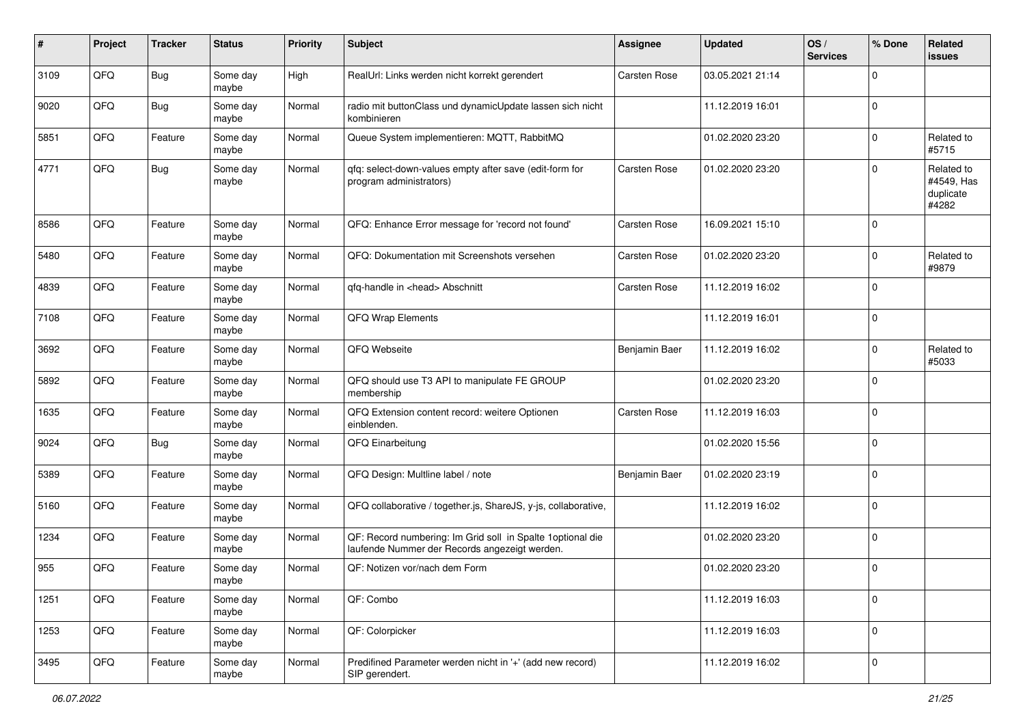| #    | Project | <b>Tracker</b> | <b>Status</b>     | <b>Priority</b> | <b>Subject</b>                                                                                               | Assignee            | <b>Updated</b>   | OS/<br><b>Services</b> | % Done      | Related<br>issues                              |
|------|---------|----------------|-------------------|-----------------|--------------------------------------------------------------------------------------------------------------|---------------------|------------------|------------------------|-------------|------------------------------------------------|
| 3109 | QFQ     | <b>Bug</b>     | Some day<br>maybe | High            | RealUrl: Links werden nicht korrekt gerendert                                                                | Carsten Rose        | 03.05.2021 21:14 |                        | $\mathbf 0$ |                                                |
| 9020 | QFQ     | <b>Bug</b>     | Some day<br>maybe | Normal          | radio mit buttonClass und dynamicUpdate lassen sich nicht<br>kombinieren                                     |                     | 11.12.2019 16:01 |                        | 0           |                                                |
| 5851 | QFQ     | Feature        | Some day<br>maybe | Normal          | Queue System implementieren: MQTT, RabbitMQ                                                                  |                     | 01.02.2020 23:20 |                        | $\mathbf 0$ | Related to<br>#5715                            |
| 4771 | QFQ     | <b>Bug</b>     | Some day<br>maybe | Normal          | qfq: select-down-values empty after save (edit-form for<br>program administrators)                           | <b>Carsten Rose</b> | 01.02.2020 23:20 |                        | $\mathbf 0$ | Related to<br>#4549, Has<br>duplicate<br>#4282 |
| 8586 | QFQ     | Feature        | Some day<br>maybe | Normal          | QFQ: Enhance Error message for 'record not found'                                                            | Carsten Rose        | 16.09.2021 15:10 |                        | $\mathbf 0$ |                                                |
| 5480 | QFQ     | Feature        | Some day<br>maybe | Normal          | QFQ: Dokumentation mit Screenshots versehen                                                                  | <b>Carsten Rose</b> | 01.02.2020 23:20 |                        | 0           | Related to<br>#9879                            |
| 4839 | QFQ     | Feature        | Some day<br>maybe | Normal          | qfq-handle in <head> Abschnitt</head>                                                                        | <b>Carsten Rose</b> | 11.12.2019 16:02 |                        | $\mathbf 0$ |                                                |
| 7108 | QFQ     | Feature        | Some day<br>maybe | Normal          | QFQ Wrap Elements                                                                                            |                     | 11.12.2019 16:01 |                        | $\mathbf 0$ |                                                |
| 3692 | QFQ     | Feature        | Some day<br>maybe | Normal          | QFQ Webseite                                                                                                 | Benjamin Baer       | 11.12.2019 16:02 |                        | $\mathbf 0$ | Related to<br>#5033                            |
| 5892 | QFQ     | Feature        | Some day<br>maybe | Normal          | QFQ should use T3 API to manipulate FE GROUP<br>membership                                                   |                     | 01.02.2020 23:20 |                        | $\mathbf 0$ |                                                |
| 1635 | QFQ     | Feature        | Some day<br>maybe | Normal          | QFQ Extension content record: weitere Optionen<br>einblenden.                                                | <b>Carsten Rose</b> | 11.12.2019 16:03 |                        | $\mathbf 0$ |                                                |
| 9024 | QFQ     | <b>Bug</b>     | Some day<br>maybe | Normal          | QFQ Einarbeitung                                                                                             |                     | 01.02.2020 15:56 |                        | $\mathbf 0$ |                                                |
| 5389 | QFQ     | Feature        | Some day<br>maybe | Normal          | QFQ Design: Multline label / note                                                                            | Benjamin Baer       | 01.02.2020 23:19 |                        | $\mathbf 0$ |                                                |
| 5160 | QFQ     | Feature        | Some day<br>maybe | Normal          | QFQ collaborative / together.js, ShareJS, y-js, collaborative,                                               |                     | 11.12.2019 16:02 |                        | $\mathbf 0$ |                                                |
| 1234 | QFQ     | Feature        | Some day<br>maybe | Normal          | QF: Record numbering: Im Grid soll in Spalte 1 optional die<br>laufende Nummer der Records angezeigt werden. |                     | 01.02.2020 23:20 |                        | $\mathbf 0$ |                                                |
| 955  | QFQ     | Feature        | Some day<br>maybe | Normal          | QF: Notizen vor/nach dem Form                                                                                |                     | 01.02.2020 23:20 |                        | $\mathbf 0$ |                                                |
| 1251 | QFQ     | Feature        | Some day<br>maybe | Normal          | QF: Combo                                                                                                    |                     | 11.12.2019 16:03 |                        | $\mathbf 0$ |                                                |
| 1253 | QFQ     | Feature        | Some day<br>maybe | Normal          | QF: Colorpicker                                                                                              |                     | 11.12.2019 16:03 |                        | $\mathbf 0$ |                                                |
| 3495 | QFQ     | Feature        | Some day<br>maybe | Normal          | Predifined Parameter werden nicht in '+' (add new record)<br>SIP gerendert.                                  |                     | 11.12.2019 16:02 |                        | $\mathbf 0$ |                                                |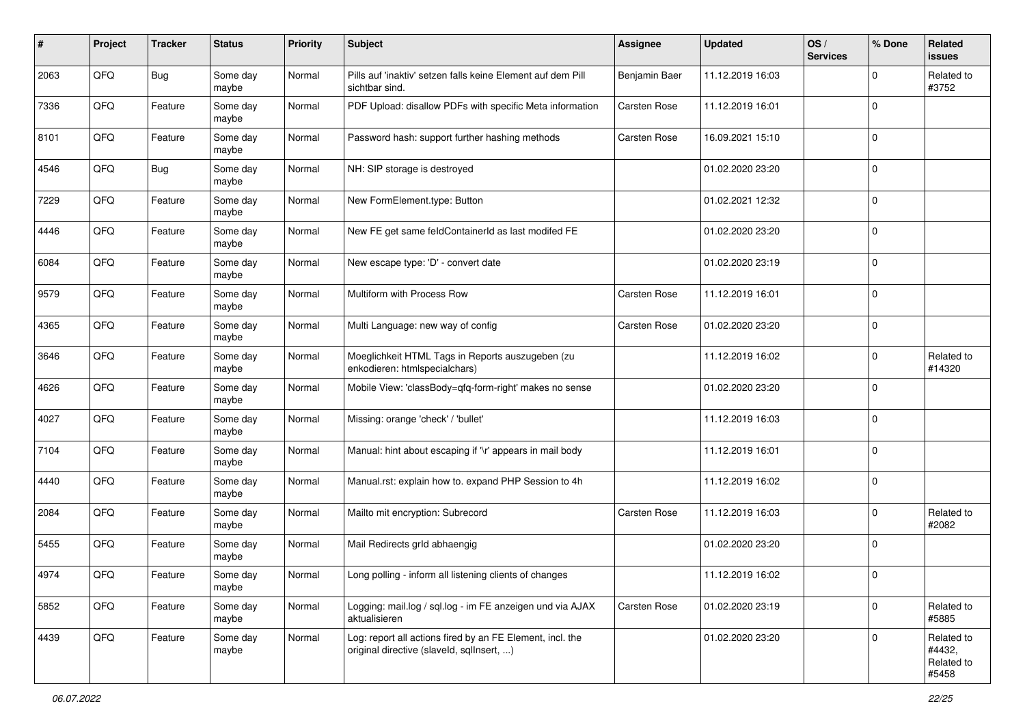| ∦    | Project | <b>Tracker</b> | <b>Status</b>     | <b>Priority</b> | <b>Subject</b>                                                                                         | <b>Assignee</b>     | <b>Updated</b>   | OS/<br><b>Services</b> | % Done      | Related<br><b>issues</b>                    |
|------|---------|----------------|-------------------|-----------------|--------------------------------------------------------------------------------------------------------|---------------------|------------------|------------------------|-------------|---------------------------------------------|
| 2063 | QFQ     | <b>Bug</b>     | Some day<br>maybe | Normal          | Pills auf 'inaktiv' setzen falls keine Element auf dem Pill<br>sichtbar sind.                          | Benjamin Baer       | 11.12.2019 16:03 |                        | $\Omega$    | Related to<br>#3752                         |
| 7336 | QFQ     | Feature        | Some day<br>maybe | Normal          | PDF Upload: disallow PDFs with specific Meta information                                               | <b>Carsten Rose</b> | 11.12.2019 16:01 |                        | $\mathbf 0$ |                                             |
| 8101 | QFQ     | Feature        | Some day<br>maybe | Normal          | Password hash: support further hashing methods                                                         | Carsten Rose        | 16.09.2021 15:10 |                        | $\mathbf 0$ |                                             |
| 4546 | QFQ     | <b>Bug</b>     | Some day<br>maybe | Normal          | NH: SIP storage is destroyed                                                                           |                     | 01.02.2020 23:20 |                        | $\mathbf 0$ |                                             |
| 7229 | QFQ     | Feature        | Some day<br>maybe | Normal          | New FormElement.type: Button                                                                           |                     | 01.02.2021 12:32 |                        | $\mathbf 0$ |                                             |
| 4446 | QFQ     | Feature        | Some day<br>maybe | Normal          | New FE get same feldContainerId as last modifed FE                                                     |                     | 01.02.2020 23:20 |                        | $\Omega$    |                                             |
| 6084 | QFQ     | Feature        | Some day<br>maybe | Normal          | New escape type: 'D' - convert date                                                                    |                     | 01.02.2020 23:19 |                        | $\mathbf 0$ |                                             |
| 9579 | QFQ     | Feature        | Some day<br>maybe | Normal          | Multiform with Process Row                                                                             | <b>Carsten Rose</b> | 11.12.2019 16:01 |                        | $\mathbf 0$ |                                             |
| 4365 | QFQ     | Feature        | Some day<br>maybe | Normal          | Multi Language: new way of config                                                                      | Carsten Rose        | 01.02.2020 23:20 |                        | $\mathbf 0$ |                                             |
| 3646 | QFQ     | Feature        | Some day<br>maybe | Normal          | Moeglichkeit HTML Tags in Reports auszugeben (zu<br>enkodieren: htmlspecialchars)                      |                     | 11.12.2019 16:02 |                        | $\mathbf 0$ | Related to<br>#14320                        |
| 4626 | QFQ     | Feature        | Some day<br>maybe | Normal          | Mobile View: 'classBody=qfq-form-right' makes no sense                                                 |                     | 01.02.2020 23:20 |                        | $\mathbf 0$ |                                             |
| 4027 | QFQ     | Feature        | Some day<br>maybe | Normal          | Missing: orange 'check' / 'bullet'                                                                     |                     | 11.12.2019 16:03 |                        | $\mathbf 0$ |                                             |
| 7104 | QFQ     | Feature        | Some day<br>maybe | Normal          | Manual: hint about escaping if '\r' appears in mail body                                               |                     | 11.12.2019 16:01 |                        | $\mathbf 0$ |                                             |
| 4440 | QFQ     | Feature        | Some day<br>maybe | Normal          | Manual.rst: explain how to. expand PHP Session to 4h                                                   |                     | 11.12.2019 16:02 |                        | $\mathbf 0$ |                                             |
| 2084 | QFQ     | Feature        | Some day<br>maybe | Normal          | Mailto mit encryption: Subrecord                                                                       | Carsten Rose        | 11.12.2019 16:03 |                        | $\mathbf 0$ | Related to<br>#2082                         |
| 5455 | QFQ     | Feature        | Some day<br>maybe | Normal          | Mail Redirects grld abhaengig                                                                          |                     | 01.02.2020 23:20 |                        | $\mathbf 0$ |                                             |
| 4974 | QFQ     | Feature        | Some day<br>maybe | Normal          | Long polling - inform all listening clients of changes                                                 |                     | 11.12.2019 16:02 |                        | $\mathbf 0$ |                                             |
| 5852 | QFQ     | Feature        | Some day<br>maybe | Normal          | Logging: mail.log / sql.log - im FE anzeigen und via AJAX<br>aktualisieren                             | Carsten Rose        | 01.02.2020 23:19 |                        | $\mathbf 0$ | Related to<br>#5885                         |
| 4439 | QFG     | Feature        | Some day<br>maybe | Normal          | Log: report all actions fired by an FE Element, incl. the<br>original directive (slaveld, sqlInsert, ) |                     | 01.02.2020 23:20 |                        | $\mathbf 0$ | Related to<br>#4432,<br>Related to<br>#5458 |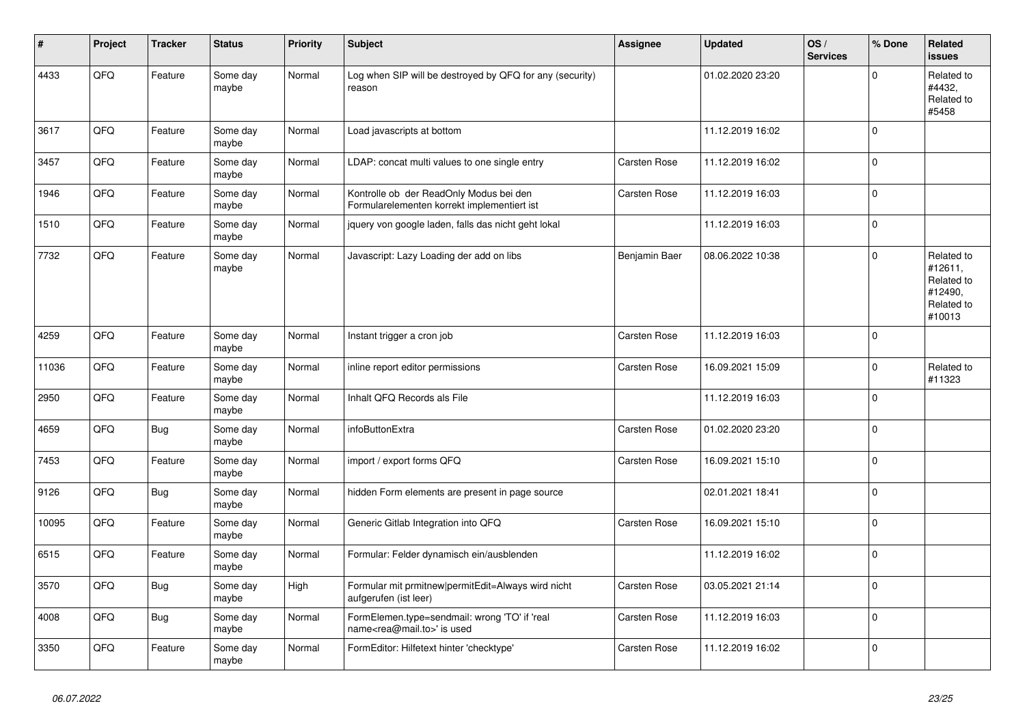| #     | Project | <b>Tracker</b> | <b>Status</b>     | <b>Priority</b> | <b>Subject</b>                                                                             | <b>Assignee</b>     | <b>Updated</b>   | OS/<br><b>Services</b> | % Done      | <b>Related</b><br><b>issues</b>                                        |
|-------|---------|----------------|-------------------|-----------------|--------------------------------------------------------------------------------------------|---------------------|------------------|------------------------|-------------|------------------------------------------------------------------------|
| 4433  | QFQ     | Feature        | Some day<br>maybe | Normal          | Log when SIP will be destroyed by QFQ for any (security)<br>reason                         |                     | 01.02.2020 23:20 |                        | $\Omega$    | Related to<br>#4432,<br>Related to<br>#5458                            |
| 3617  | QFQ     | Feature        | Some day<br>maybe | Normal          | Load javascripts at bottom                                                                 |                     | 11.12.2019 16:02 |                        | $\mathbf 0$ |                                                                        |
| 3457  | QFQ     | Feature        | Some day<br>maybe | Normal          | LDAP: concat multi values to one single entry                                              | Carsten Rose        | 11.12.2019 16:02 |                        | $\mathbf 0$ |                                                                        |
| 1946  | QFQ     | Feature        | Some day<br>maybe | Normal          | Kontrolle ob der ReadOnly Modus bei den<br>Formularelementen korrekt implementiert ist     | <b>Carsten Rose</b> | 11.12.2019 16:03 |                        | $\mathbf 0$ |                                                                        |
| 1510  | QFQ     | Feature        | Some day<br>maybe | Normal          | jquery von google laden, falls das nicht geht lokal                                        |                     | 11.12.2019 16:03 |                        | $\mathbf 0$ |                                                                        |
| 7732  | QFQ     | Feature        | Some day<br>maybe | Normal          | Javascript: Lazy Loading der add on libs                                                   | Benjamin Baer       | 08.06.2022 10:38 |                        | $\Omega$    | Related to<br>#12611.<br>Related to<br>#12490,<br>Related to<br>#10013 |
| 4259  | QFQ     | Feature        | Some day<br>maybe | Normal          | Instant trigger a cron job                                                                 | Carsten Rose        | 11.12.2019 16:03 |                        | $\mathbf 0$ |                                                                        |
| 11036 | QFQ     | Feature        | Some day<br>maybe | Normal          | inline report editor permissions                                                           | Carsten Rose        | 16.09.2021 15:09 |                        | $\mathbf 0$ | Related to<br>#11323                                                   |
| 2950  | QFQ     | Feature        | Some day<br>maybe | Normal          | Inhalt QFQ Records als File                                                                |                     | 11.12.2019 16:03 |                        | $\mathbf 0$ |                                                                        |
| 4659  | QFQ     | <b>Bug</b>     | Some day<br>maybe | Normal          | infoButtonExtra                                                                            | <b>Carsten Rose</b> | 01.02.2020 23:20 |                        | $\Omega$    |                                                                        |
| 7453  | QFQ     | Feature        | Some day<br>maybe | Normal          | import / export forms QFQ                                                                  | Carsten Rose        | 16.09.2021 15:10 |                        | $\mathbf 0$ |                                                                        |
| 9126  | QFQ     | <b>Bug</b>     | Some day<br>maybe | Normal          | hidden Form elements are present in page source                                            |                     | 02.01.2021 18:41 |                        | $\mathbf 0$ |                                                                        |
| 10095 | QFQ     | Feature        | Some day<br>maybe | Normal          | Generic Gitlab Integration into QFQ                                                        | Carsten Rose        | 16.09.2021 15:10 |                        | $\mathbf 0$ |                                                                        |
| 6515  | QFQ     | Feature        | Some day<br>maybe | Normal          | Formular: Felder dynamisch ein/ausblenden                                                  |                     | 11.12.2019 16:02 |                        | $\mathbf 0$ |                                                                        |
| 3570  | QFQ     | <b>Bug</b>     | Some day<br>maybe | High            | Formular mit prmitnew permitEdit=Always wird nicht<br>aufgerufen (ist leer)                | Carsten Rose        | 03.05.2021 21:14 |                        | $\mathbf 0$ |                                                                        |
| 4008  | QFQ     | <b>Bug</b>     | Some day<br>maybe | Normal          | FormElemen.type=sendmail: wrong 'TO' if 'real<br>name <rea@mail.to>' is used</rea@mail.to> | <b>Carsten Rose</b> | 11.12.2019 16:03 |                        | $\mathbf 0$ |                                                                        |
| 3350  | QFQ     | Feature        | Some day<br>maybe | Normal          | FormEditor: Hilfetext hinter 'checktype'                                                   | Carsten Rose        | 11.12.2019 16:02 |                        | $\mathbf 0$ |                                                                        |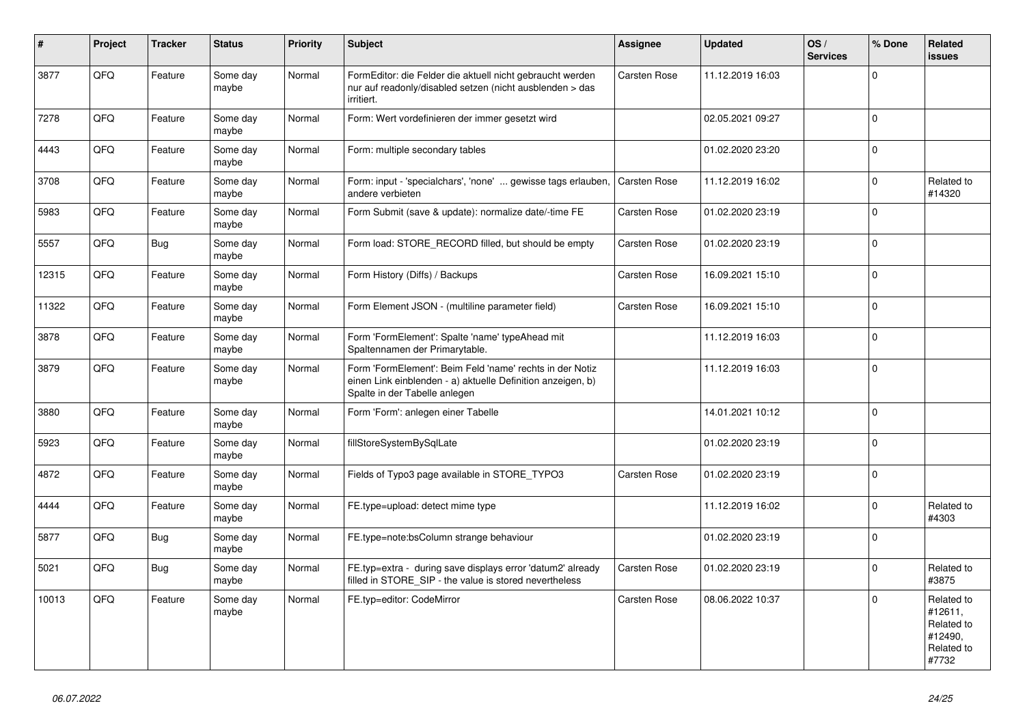| $\vert$ # | Project | <b>Tracker</b> | <b>Status</b>     | <b>Priority</b> | <b>Subject</b>                                                                                                                                           | Assignee            | <b>Updated</b>   | OS/<br><b>Services</b> | % Done      | Related<br><b>issues</b>                                              |
|-----------|---------|----------------|-------------------|-----------------|----------------------------------------------------------------------------------------------------------------------------------------------------------|---------------------|------------------|------------------------|-------------|-----------------------------------------------------------------------|
| 3877      | QFQ     | Feature        | Some day<br>maybe | Normal          | FormEditor: die Felder die aktuell nicht gebraucht werden<br>nur auf readonly/disabled setzen (nicht ausblenden > das<br>irritiert.                      | <b>Carsten Rose</b> | 11.12.2019 16:03 |                        | $\Omega$    |                                                                       |
| 7278      | QFQ     | Feature        | Some day<br>maybe | Normal          | Form: Wert vordefinieren der immer gesetzt wird                                                                                                          |                     | 02.05.2021 09:27 |                        | $\mathbf 0$ |                                                                       |
| 4443      | QFQ     | Feature        | Some day<br>maybe | Normal          | Form: multiple secondary tables                                                                                                                          |                     | 01.02.2020 23:20 |                        | $\Omega$    |                                                                       |
| 3708      | QFO     | Feature        | Some day<br>maybe | Normal          | Form: input - 'specialchars', 'none'  gewisse tags erlauben,<br>andere verbieten                                                                         | Carsten Rose        | 11.12.2019 16:02 |                        | $\Omega$    | Related to<br>#14320                                                  |
| 5983      | QFQ     | Feature        | Some day<br>maybe | Normal          | Form Submit (save & update): normalize date/-time FE                                                                                                     | Carsten Rose        | 01.02.2020 23:19 |                        | $\Omega$    |                                                                       |
| 5557      | QFQ     | <b>Bug</b>     | Some day<br>maybe | Normal          | Form load: STORE_RECORD filled, but should be empty                                                                                                      | <b>Carsten Rose</b> | 01.02.2020 23:19 |                        | $\Omega$    |                                                                       |
| 12315     | QFQ     | Feature        | Some day<br>maybe | Normal          | Form History (Diffs) / Backups                                                                                                                           | Carsten Rose        | 16.09.2021 15:10 |                        | $\mathbf 0$ |                                                                       |
| 11322     | QFQ     | Feature        | Some day<br>maybe | Normal          | Form Element JSON - (multiline parameter field)                                                                                                          | <b>Carsten Rose</b> | 16.09.2021 15:10 |                        | $\Omega$    |                                                                       |
| 3878      | QFQ     | Feature        | Some day<br>maybe | Normal          | Form 'FormElement': Spalte 'name' typeAhead mit<br>Spaltennamen der Primarytable.                                                                        |                     | 11.12.2019 16:03 |                        | $\Omega$    |                                                                       |
| 3879      | QFQ     | Feature        | Some day<br>maybe | Normal          | Form 'FormElement': Beim Feld 'name' rechts in der Notiz<br>einen Link einblenden - a) aktuelle Definition anzeigen, b)<br>Spalte in der Tabelle anlegen |                     | 11.12.2019 16:03 |                        | $\mathbf 0$ |                                                                       |
| 3880      | QFQ     | Feature        | Some day<br>maybe | Normal          | Form 'Form': anlegen einer Tabelle                                                                                                                       |                     | 14.01.2021 10:12 |                        | $\Omega$    |                                                                       |
| 5923      | QFQ     | Feature        | Some day<br>maybe | Normal          | fillStoreSystemBySqlLate                                                                                                                                 |                     | 01.02.2020 23:19 |                        | $\mathbf 0$ |                                                                       |
| 4872      | QFQ     | Feature        | Some day<br>maybe | Normal          | Fields of Typo3 page available in STORE_TYPO3                                                                                                            | Carsten Rose        | 01.02.2020 23:19 |                        | $\Omega$    |                                                                       |
| 4444      | QFQ     | Feature        | Some day<br>maybe | Normal          | FE.type=upload: detect mime type                                                                                                                         |                     | 11.12.2019 16:02 |                        | $\Omega$    | Related to<br>#4303                                                   |
| 5877      | QFQ     | Bug            | Some day<br>maybe | Normal          | FE.type=note:bsColumn strange behaviour                                                                                                                  |                     | 01.02.2020 23:19 |                        | $\mathbf 0$ |                                                                       |
| 5021      | QFQ     | <b>Bug</b>     | Some day<br>maybe | Normal          | FE.typ=extra - during save displays error 'datum2' already<br>filled in STORE SIP - the value is stored nevertheless                                     | Carsten Rose        | 01.02.2020 23:19 |                        | $\Omega$    | Related to<br>#3875                                                   |
| 10013     | QFQ     | Feature        | Some day<br>maybe | Normal          | FE.typ=editor: CodeMirror                                                                                                                                | <b>Carsten Rose</b> | 08.06.2022 10:37 |                        | $\Omega$    | Related to<br>#12611,<br>Related to<br>#12490.<br>Related to<br>#7732 |